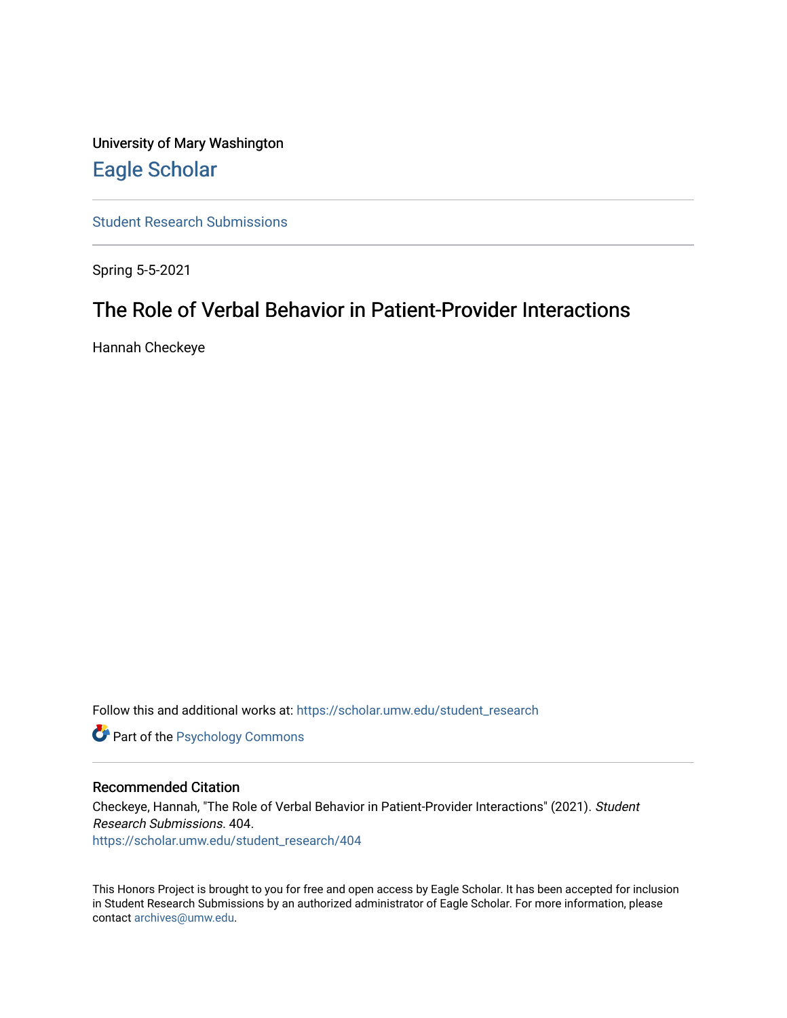University of Mary Washington [Eagle Scholar](https://scholar.umw.edu/) 

[Student Research Submissions](https://scholar.umw.edu/student_research) 

Spring 5-5-2021

# The Role of Verbal Behavior in Patient-Provider Interactions

Hannah Checkeye

Follow this and additional works at: [https://scholar.umw.edu/student\\_research](https://scholar.umw.edu/student_research?utm_source=scholar.umw.edu%2Fstudent_research%2F404&utm_medium=PDF&utm_campaign=PDFCoverPages)

**Part of the Psychology Commons** 

#### Recommended Citation

Checkeye, Hannah, "The Role of Verbal Behavior in Patient-Provider Interactions" (2021). Student Research Submissions. 404. [https://scholar.umw.edu/student\\_research/404](https://scholar.umw.edu/student_research/404?utm_source=scholar.umw.edu%2Fstudent_research%2F404&utm_medium=PDF&utm_campaign=PDFCoverPages)

This Honors Project is brought to you for free and open access by Eagle Scholar. It has been accepted for inclusion in Student Research Submissions by an authorized administrator of Eagle Scholar. For more information, please contact [archives@umw.edu](mailto:archives@umw.edu).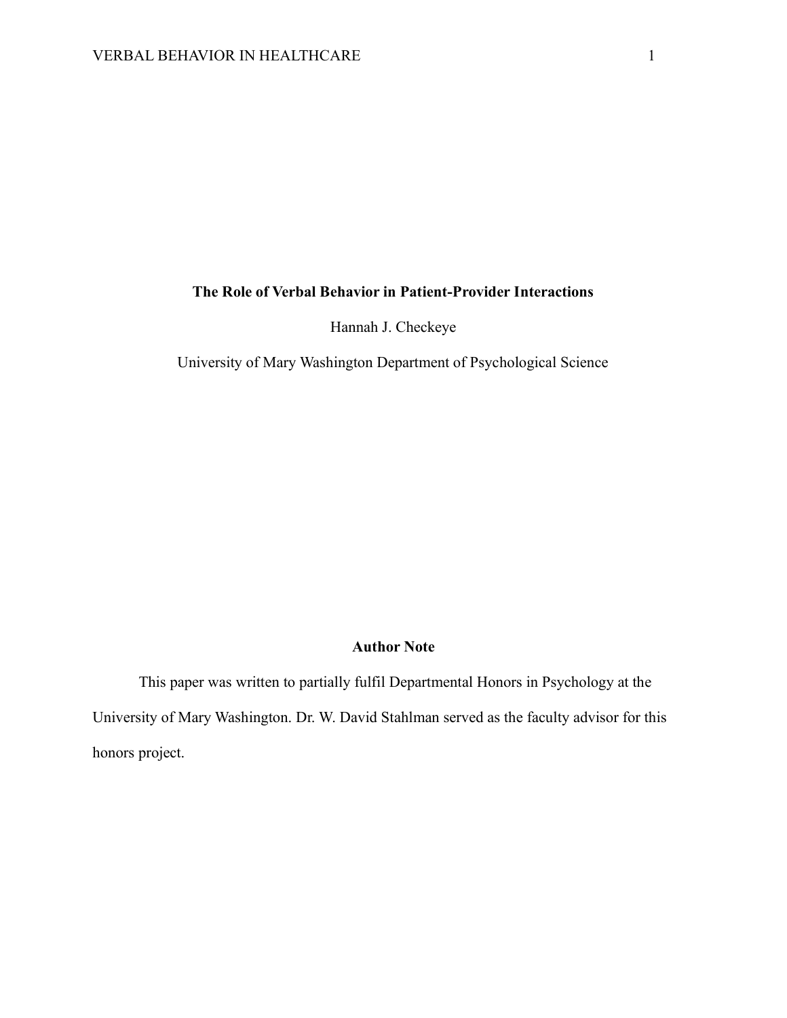# **The Role of Verbal Behavior in Patient-Provider Interactions**

Hannah J. Checkeye

University of Mary Washington Department of Psychological Science

# **Author Note**

This paper was written to partially fulfil Departmental Honors in Psychology at the University of Mary Washington. Dr. W. David Stahlman served as the faculty advisor for this honors project.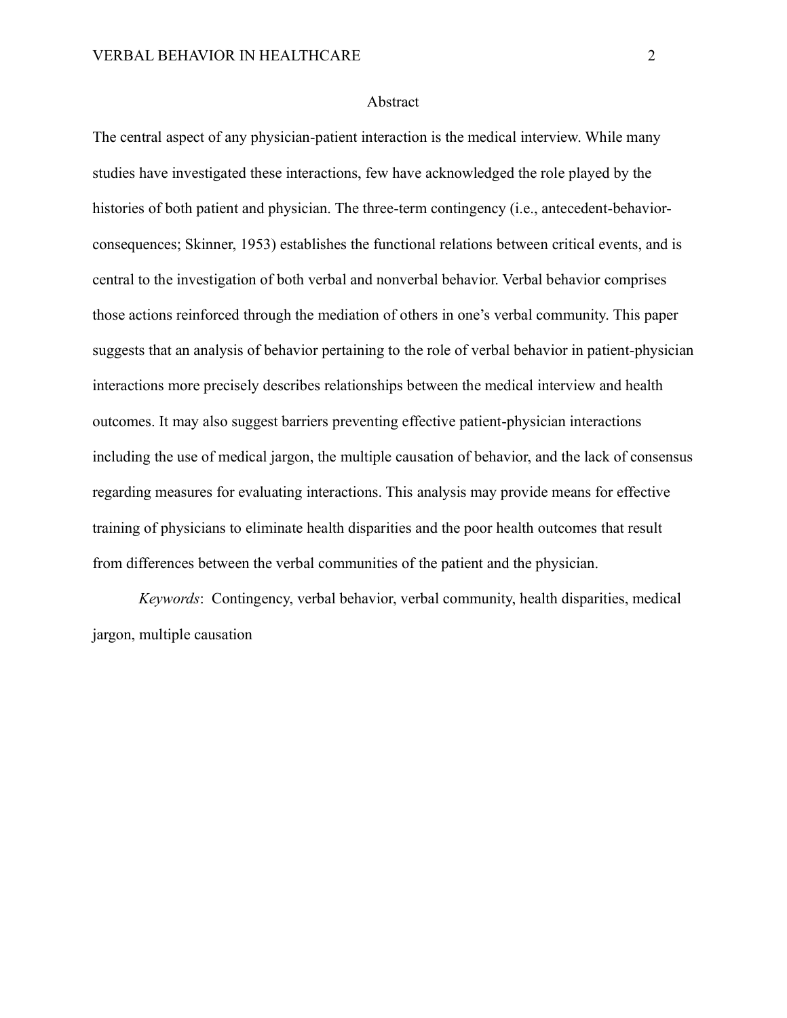#### Abstract

The central aspect of any physician-patient interaction is the medical interview. While many studies have investigated these interactions, few have acknowledged the role played by the histories of both patient and physician. The three-term contingency (i.e., antecedent-behaviorconsequences; Skinner, 1953) establishes the functional relations between critical events, and is central to the investigation of both verbal and nonverbal behavior. Verbal behavior comprises those actions reinforced through the mediation of others in one's verbal community. This paper suggests that an analysis of behavior pertaining to the role of verbal behavior in patient-physician interactions more precisely describes relationships between the medical interview and health outcomes. It may also suggest barriers preventing effective patient-physician interactions including the use of medical jargon, the multiple causation of behavior, and the lack of consensus regarding measures for evaluating interactions. This analysis may provide means for effective training of physicians to eliminate health disparities and the poor health outcomes that result from differences between the verbal communities of the patient and the physician.

*Keywords*: Contingency, verbal behavior, verbal community, health disparities, medical jargon, multiple causation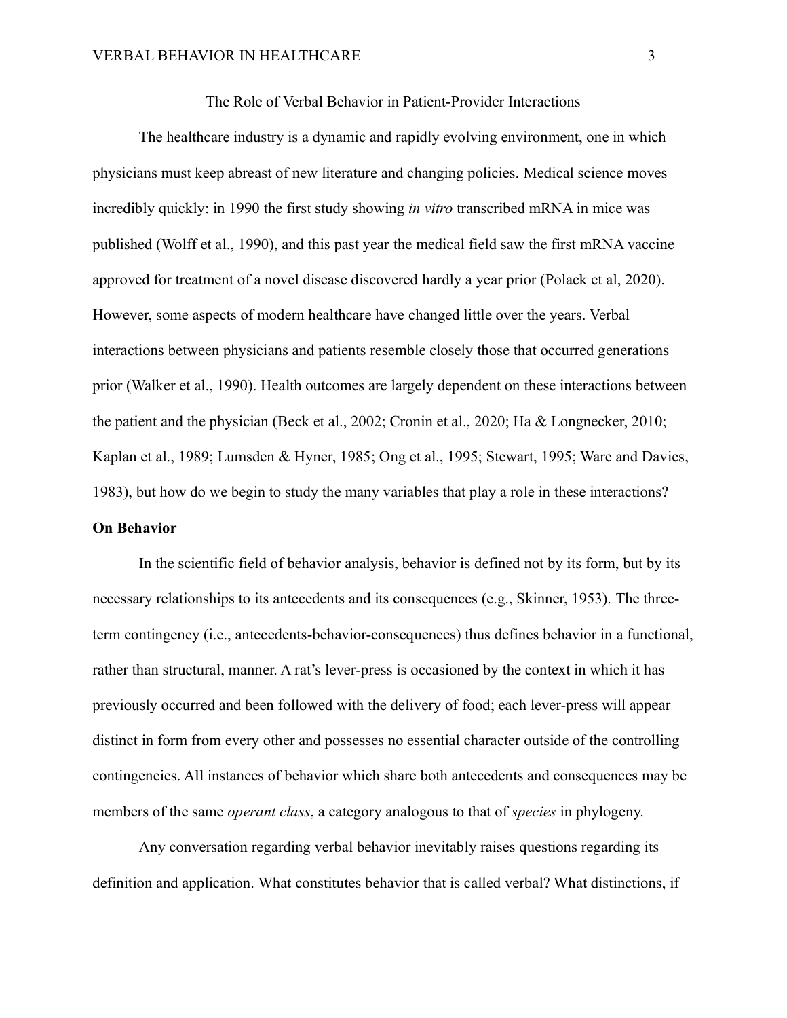#### The Role of Verbal Behavior in Patient-Provider Interactions

The healthcare industry is a dynamic and rapidly evolving environment, one in which physicians must keep abreast of new literature and changing policies. Medical science moves incredibly quickly: in 1990 the first study showing *in vitro* transcribed mRNA in mice was published (Wolff et al., 1990), and this past year the medical field saw the first mRNA vaccine approved for treatment of a novel disease discovered hardly a year prior (Polack et al, 2020). However, some aspects of modern healthcare have changed little over the years. Verbal interactions between physicians and patients resemble closely those that occurred generations prior (Walker et al., 1990). Health outcomes are largely dependent on these interactions between the patient and the physician (Beck et al., 2002; Cronin et al., 2020; Ha & Longnecker, 2010; Kaplan et al., 1989; Lumsden & Hyner, 1985; Ong et al., 1995; Stewart, 1995; Ware and Davies, 1983), but how do we begin to study the many variables that play a role in these interactions? **On Behavior**

In the scientific field of behavior analysis, behavior is defined not by its form, but by its necessary relationships to its antecedents and its consequences (e.g., Skinner, 1953). The threeterm contingency (i.e., antecedents-behavior-consequences) thus defines behavior in a functional, rather than structural, manner. A rat's lever-press is occasioned by the context in which it has previously occurred and been followed with the delivery of food; each lever-press will appear distinct in form from every other and possesses no essential character outside of the controlling contingencies. All instances of behavior which share both antecedents and consequences may be members of the same *operant class*, a category analogous to that of *species* in phylogeny.

Any conversation regarding verbal behavior inevitably raises questions regarding its definition and application. What constitutes behavior that is called verbal? What distinctions, if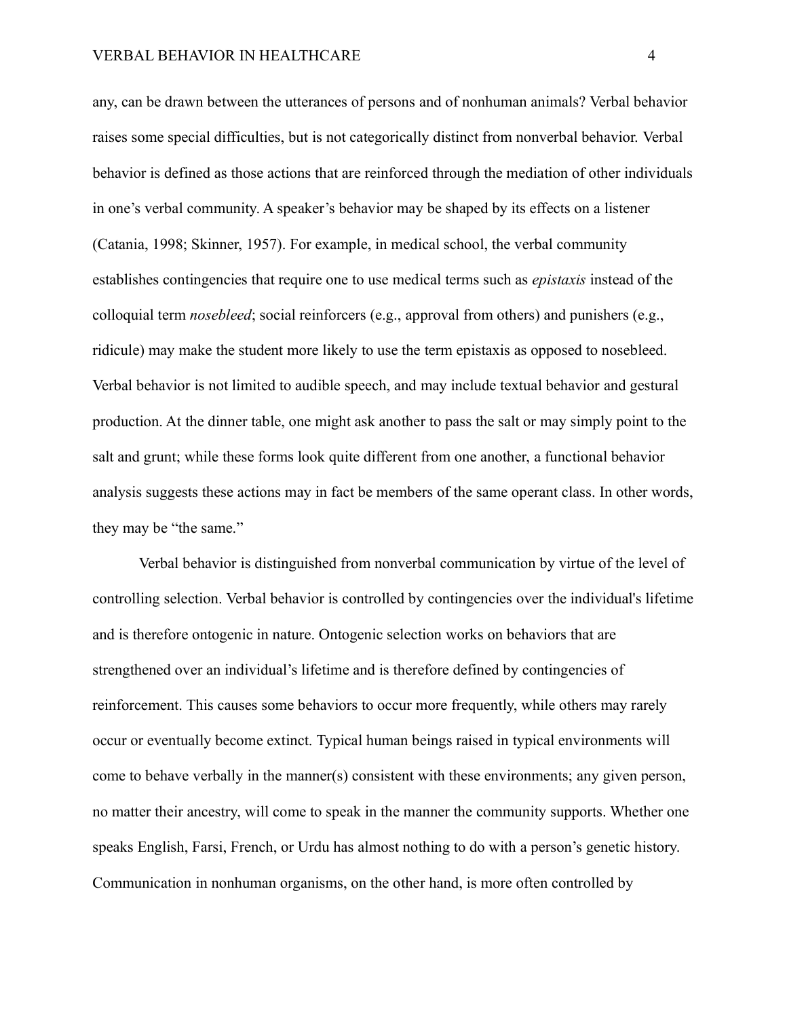any, can be drawn between the utterances of persons and of nonhuman animals? Verbal behavior raises some special difficulties, but is not categorically distinct from nonverbal behavior. Verbal behavior is defined as those actions that are reinforced through the mediation of other individuals in one's verbal community. A speaker's behavior may be shaped by its effects on a listener (Catania, 1998; Skinner, 1957). For example, in medical school, the verbal community establishes contingencies that require one to use medical terms such as *epistaxis* instead of the colloquial term *nosebleed*; social reinforcers (e.g., approval from others) and punishers (e.g., ridicule) may make the student more likely to use the term epistaxis as opposed to nosebleed. Verbal behavior is not limited to audible speech, and may include textual behavior and gestural production. At the dinner table, one might ask another to pass the salt or may simply point to the salt and grunt; while these forms look quite different from one another, a functional behavior analysis suggests these actions may in fact be members of the same operant class. In other words, they may be "the same."

Verbal behavior is distinguished from nonverbal communication by virtue of the level of controlling selection. Verbal behavior is controlled by contingencies over the individual's lifetime and is therefore ontogenic in nature. Ontogenic selection works on behaviors that are strengthened over an individual's lifetime and is therefore defined by contingencies of reinforcement. This causes some behaviors to occur more frequently, while others may rarely occur or eventually become extinct. Typical human beings raised in typical environments will come to behave verbally in the manner(s) consistent with these environments; any given person, no matter their ancestry, will come to speak in the manner the community supports. Whether one speaks English, Farsi, French, or Urdu has almost nothing to do with a person's genetic history. Communication in nonhuman organisms, on the other hand, is more often controlled by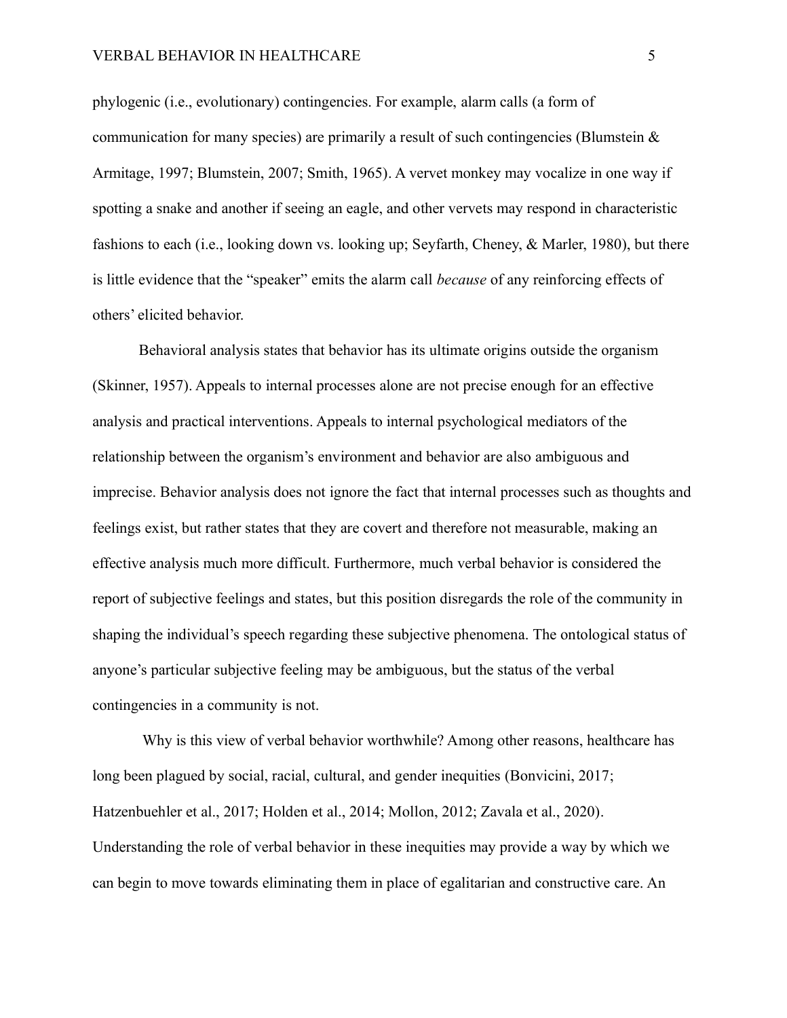#### VERBAL BEHAVIOR IN HEALTHCARE  $\overline{\phantom{1}}$  5

phylogenic (i.e., evolutionary) contingencies. For example, alarm calls (a form of communication for many species) are primarily a result of such contingencies (Blumstein  $\&$ Armitage, 1997; Blumstein, 2007; Smith, 1965). A vervet monkey may vocalize in one way if spotting a snake and another if seeing an eagle, and other vervets may respond in characteristic fashions to each (i.e., looking down vs. looking up; Seyfarth, Cheney, & Marler, 1980), but there is little evidence that the "speaker" emits the alarm call *because* of any reinforcing effects of others' elicited behavior.

Behavioral analysis states that behavior has its ultimate origins outside the organism (Skinner, 1957). Appeals to internal processes alone are not precise enough for an effective analysis and practical interventions. Appeals to internal psychological mediators of the relationship between the organism's environment and behavior are also ambiguous and imprecise. Behavior analysis does not ignore the fact that internal processes such as thoughts and feelings exist, but rather states that they are covert and therefore not measurable, making an effective analysis much more difficult. Furthermore, much verbal behavior is considered the report of subjective feelings and states, but this position disregards the role of the community in shaping the individual's speech regarding these subjective phenomena. The ontological status of anyone's particular subjective feeling may be ambiguous, but the status of the verbal contingencies in a community is not.

Why is this view of verbal behavior worthwhile? Among other reasons, healthcare has long been plagued by social, racial, cultural, and gender inequities (Bonvicini, 2017; Hatzenbuehler et al., 2017; Holden et al., 2014; Mollon, 2012; Zavala et al., 2020). Understanding the role of verbal behavior in these inequities may provide a way by which we can begin to move towards eliminating them in place of egalitarian and constructive care. An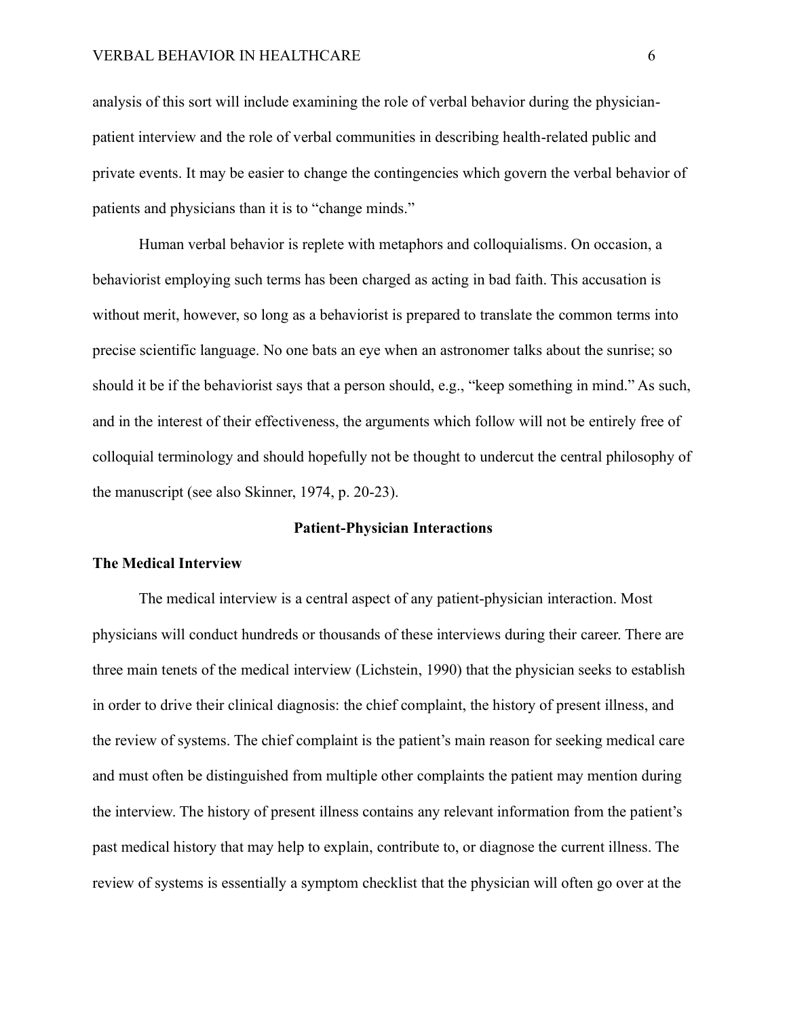analysis of this sort will include examining the role of verbal behavior during the physicianpatient interview and the role of verbal communities in describing health-related public and private events. It may be easier to change the contingencies which govern the verbal behavior of patients and physicians than it is to "change minds."

Human verbal behavior is replete with metaphors and colloquialisms. On occasion, a behaviorist employing such terms has been charged as acting in bad faith. This accusation is without merit, however, so long as a behaviorist is prepared to translate the common terms into precise scientific language. No one bats an eye when an astronomer talks about the sunrise; so should it be if the behaviorist says that a person should, e.g., "keep something in mind." As such, and in the interest of their effectiveness, the arguments which follow will not be entirely free of colloquial terminology and should hopefully not be thought to undercut the central philosophy of the manuscript (see also Skinner, 1974, p. 20-23).

#### **Patient-Physician Interactions**

#### **The Medical Interview**

The medical interview is a central aspect of any patient-physician interaction. Most physicians will conduct hundreds or thousands of these interviews during their career. There are three main tenets of the medical interview (Lichstein, 1990) that the physician seeks to establish in order to drive their clinical diagnosis: the chief complaint, the history of present illness, and the review of systems. The chief complaint is the patient's main reason for seeking medical care and must often be distinguished from multiple other complaints the patient may mention during the interview. The history of present illness contains any relevant information from the patient's past medical history that may help to explain, contribute to, or diagnose the current illness. The review of systems is essentially a symptom checklist that the physician will often go over at the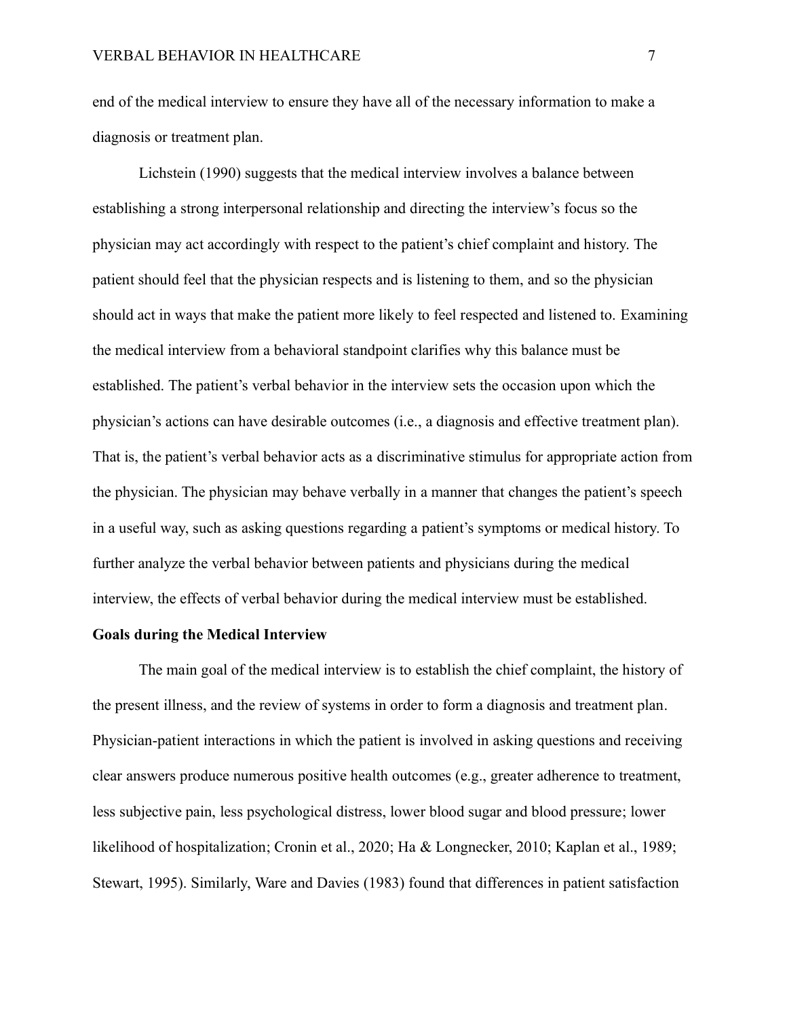end of the medical interview to ensure they have all of the necessary information to make a diagnosis or treatment plan.

Lichstein (1990) suggests that the medical interview involves a balance between establishing a strong interpersonal relationship and directing the interview's focus so the physician may act accordingly with respect to the patient's chief complaint and history. The patient should feel that the physician respects and is listening to them, and so the physician should act in ways that make the patient more likely to feel respected and listened to. Examining the medical interview from a behavioral standpoint clarifies why this balance must be established. The patient's verbal behavior in the interview sets the occasion upon which the physician's actions can have desirable outcomes (i.e., a diagnosis and effective treatment plan). That is, the patient's verbal behavior acts as a discriminative stimulus for appropriate action from the physician. The physician may behave verbally in a manner that changes the patient's speech in a useful way, such as asking questions regarding a patient's symptoms or medical history. To further analyze the verbal behavior between patients and physicians during the medical interview, the effects of verbal behavior during the medical interview must be established.

## **Goals during the Medical Interview**

The main goal of the medical interview is to establish the chief complaint, the history of the present illness, and the review of systems in order to form a diagnosis and treatment plan. Physician-patient interactions in which the patient is involved in asking questions and receiving clear answers produce numerous positive health outcomes (e.g., greater adherence to treatment, less subjective pain, less psychological distress, lower blood sugar and blood pressure; lower likelihood of hospitalization; Cronin et al., 2020; Ha & Longnecker, 2010; Kaplan et al., 1989; Stewart, 1995). Similarly, Ware and Davies (1983) found that differences in patient satisfaction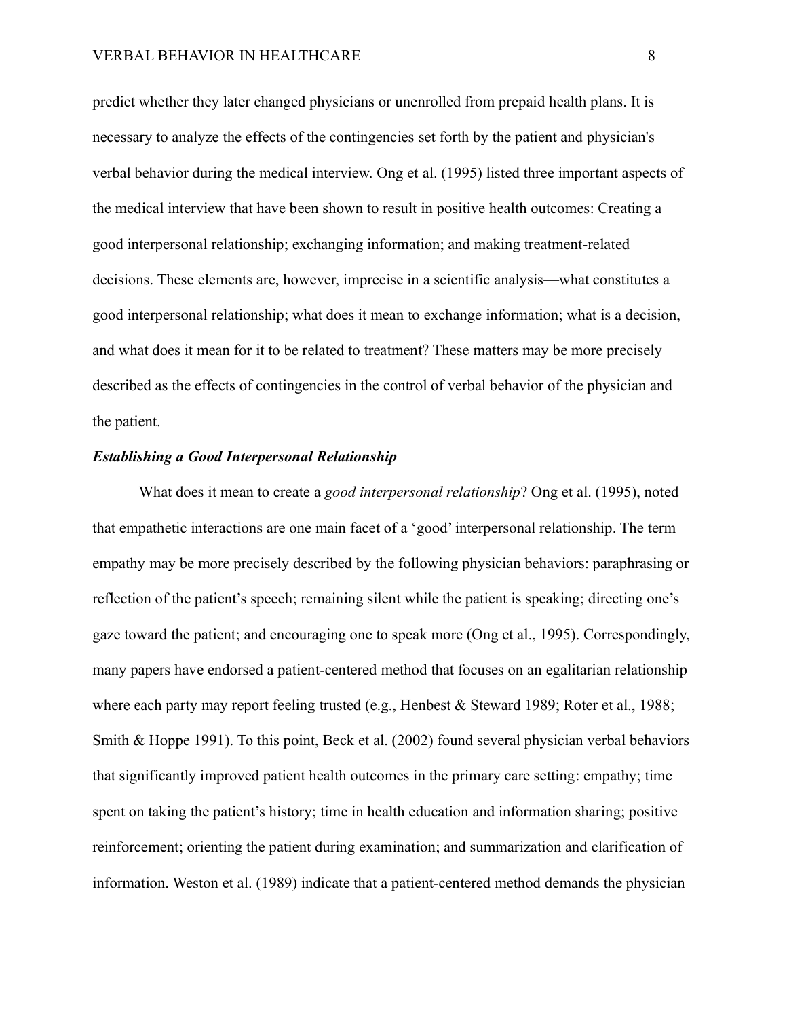predict whether they later changed physicians or unenrolled from prepaid health plans. It is necessary to analyze the effects of the contingencies set forth by the patient and physician's verbal behavior during the medical interview. Ong et al. (1995) listed three important aspects of the medical interview that have been shown to result in positive health outcomes: Creating a good interpersonal relationship; exchanging information; and making treatment-related decisions. These elements are, however, imprecise in a scientific analysis—what constitutes a good interpersonal relationship; what does it mean to exchange information; what is a decision, and what does it mean for it to be related to treatment? These matters may be more precisely described as the effects of contingencies in the control of verbal behavior of the physician and the patient.

#### *Establishing a Good Interpersonal Relationship*

What does it mean to create a *good interpersonal relationship*? Ong et al. (1995), noted that empathetic interactions are one main facet of a 'good' interpersonal relationship. The term empathy may be more precisely described by the following physician behaviors: paraphrasing or reflection of the patient's speech; remaining silent while the patient is speaking; directing one's gaze toward the patient; and encouraging one to speak more (Ong et al., 1995). Correspondingly, many papers have endorsed a patient-centered method that focuses on an egalitarian relationship where each party may report feeling trusted (e.g., Henbest & Steward 1989; Roter et al., 1988; Smith & Hoppe 1991). To this point, Beck et al. (2002) found several physician verbal behaviors that significantly improved patient health outcomes in the primary care setting: empathy; time spent on taking the patient's history; time in health education and information sharing; positive reinforcement; orienting the patient during examination; and summarization and clarification of information. Weston et al. (1989) indicate that a patient-centered method demands the physician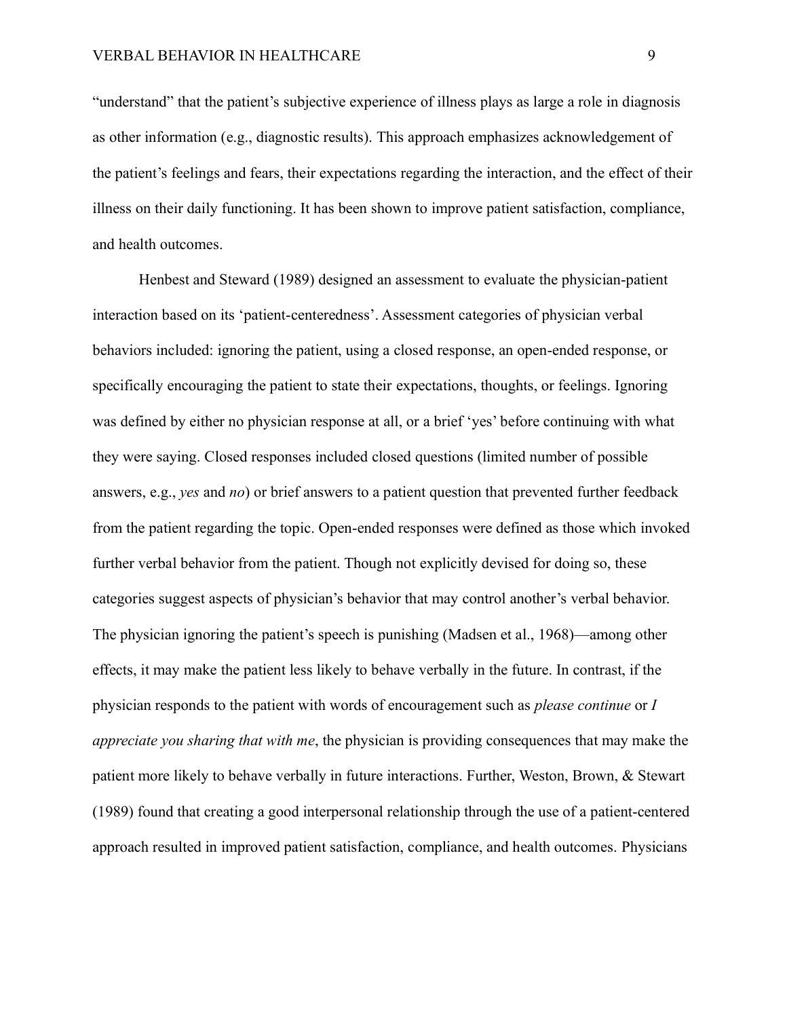"understand" that the patient's subjective experience of illness plays as large a role in diagnosis as other information (e.g., diagnostic results). This approach emphasizes acknowledgement of the patient's feelings and fears, their expectations regarding the interaction, and the effect of their illness on their daily functioning. It has been shown to improve patient satisfaction, compliance, and health outcomes.

Henbest and Steward (1989) designed an assessment to evaluate the physician-patient interaction based on its 'patient-centeredness'. Assessment categories of physician verbal behaviors included: ignoring the patient, using a closed response, an open-ended response, or specifically encouraging the patient to state their expectations, thoughts, or feelings. Ignoring was defined by either no physician response at all, or a brief 'yes' before continuing with what they were saying. Closed responses included closed questions (limited number of possible answers, e.g., *yes* and *no*) or brief answers to a patient question that prevented further feedback from the patient regarding the topic. Open-ended responses were defined as those which invoked further verbal behavior from the patient. Though not explicitly devised for doing so, these categories suggest aspects of physician's behavior that may control another's verbal behavior. The physician ignoring the patient's speech is punishing (Madsen et al., 1968)—among other effects, it may make the patient less likely to behave verbally in the future. In contrast, if the physician responds to the patient with words of encouragement such as *please continue* or *I appreciate you sharing that with me*, the physician is providing consequences that may make the patient more likely to behave verbally in future interactions. Further, Weston, Brown, & Stewart (1989) found that creating a good interpersonal relationship through the use of a patient-centered approach resulted in improved patient satisfaction, compliance, and health outcomes. Physicians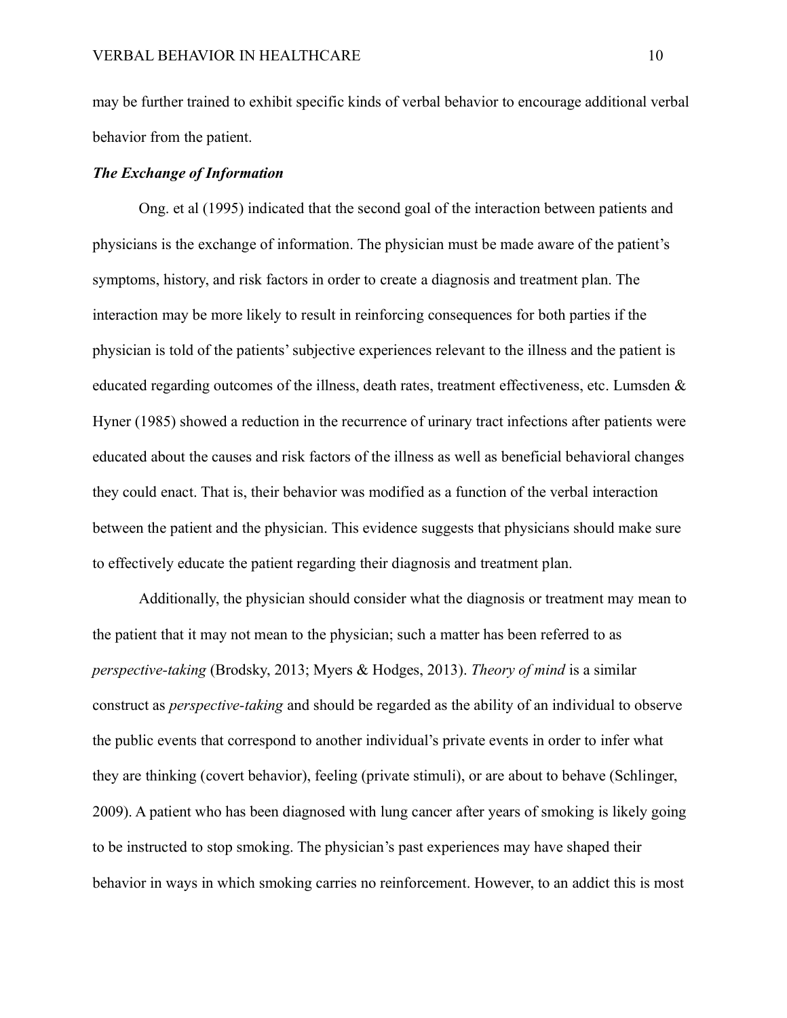may be further trained to exhibit specific kinds of verbal behavior to encourage additional verbal behavior from the patient.

#### *The Exchange of Information*

Ong. et al (1995) indicated that the second goal of the interaction between patients and physicians is the exchange of information. The physician must be made aware of the patient's symptoms, history, and risk factors in order to create a diagnosis and treatment plan. The interaction may be more likely to result in reinforcing consequences for both parties if the physician is told of the patients'subjective experiences relevant to the illness and the patient is educated regarding outcomes of the illness, death rates, treatment effectiveness, etc. Lumsden & Hyner (1985) showed a reduction in the recurrence of urinary tract infections after patients were educated about the causes and risk factors of the illness as well as beneficial behavioral changes they could enact. That is, their behavior was modified as a function of the verbal interaction between the patient and the physician. This evidence suggests that physicians should make sure to effectively educate the patient regarding their diagnosis and treatment plan.

Additionally, the physician should consider what the diagnosis or treatment may mean to the patient that it may not mean to the physician; such a matter has been referred to as *perspective-taking* (Brodsky, 2013; Myers & Hodges, 2013). *Theory of mind* is a similar construct as *perspective-taking* and should be regarded as the ability of an individual to observe the public events that correspond to another individual's private events in order to infer what they are thinking (covert behavior), feeling (private stimuli), or are about to behave (Schlinger, 2009). A patient who has been diagnosed with lung cancer after years of smoking is likely going to be instructed to stop smoking. The physician's past experiences may have shaped their behavior in ways in which smoking carries no reinforcement. However, to an addict this is most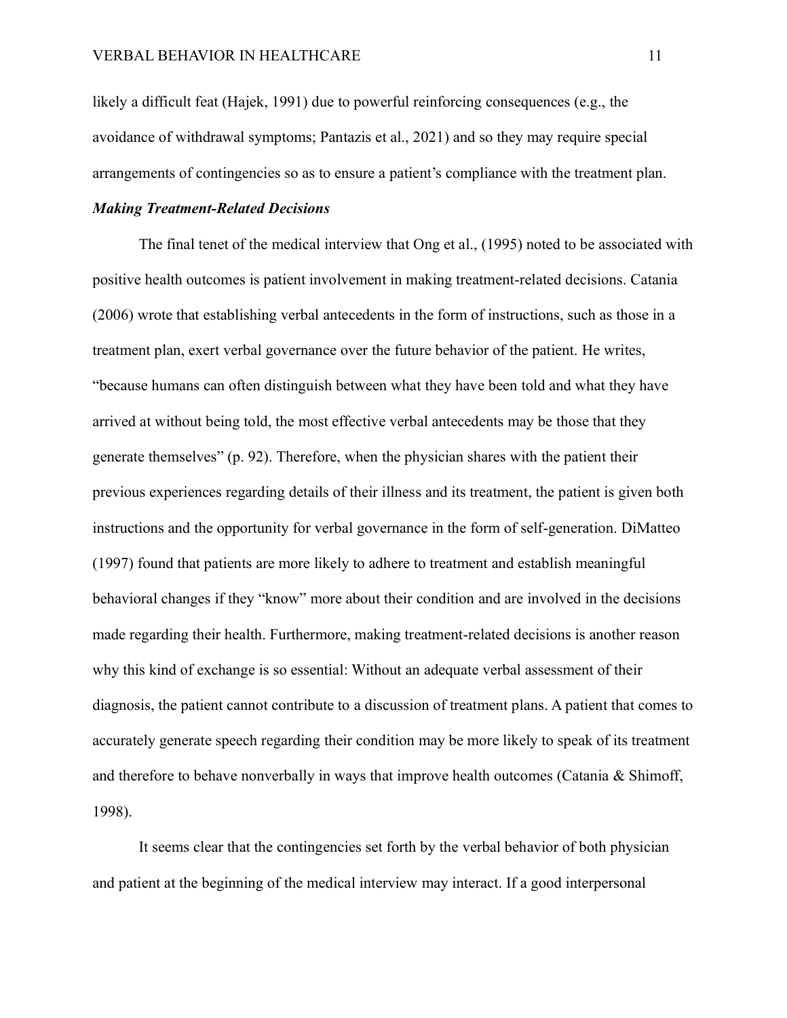likely a difficult feat (Hajek, 1991) due to powerful reinforcing consequences (e.g., the avoidance of withdrawal symptoms; Pantazis et al., 2021) and so they may require special arrangements of contingencies so as to ensure a patient's compliance with the treatment plan.

## *Making Treatment-Related Decisions*

The final tenet of the medical interview that Ong et al., (1995) noted to be associated with positive health outcomes is patient involvement in making treatment-related decisions. Catania (2006) wrote that establishing verbal antecedents in the form of instructions, such as those in a treatment plan, exert verbal governance over the future behavior of the patient. He writes, "because humans can often distinguish between what they have been told and what they have arrived at without being told, the most effective verbal antecedents may be those that they generate themselves" (p. 92). Therefore, when the physician shares with the patient their previous experiences regarding details of their illness and its treatment, the patient is given both instructions and the opportunity for verbal governance in the form of self-generation. DiMatteo (1997) found that patients are more likely to adhere to treatment and establish meaningful behavioral changes if they "know" more about their condition and are involved in the decisions made regarding their health. Furthermore, making treatment-related decisions is another reason why this kind of exchange is so essential: Without an adequate verbal assessment of their diagnosis, the patient cannot contribute to a discussion of treatment plans. A patient that comes to accurately generate speech regarding their condition may be more likely to speak of its treatment and therefore to behave nonverbally in ways that improve health outcomes (Catania & Shimoff, 1998).

It seems clear that the contingencies set forth by the verbal behavior of both physician and patient at the beginning of the medical interview may interact. If a good interpersonal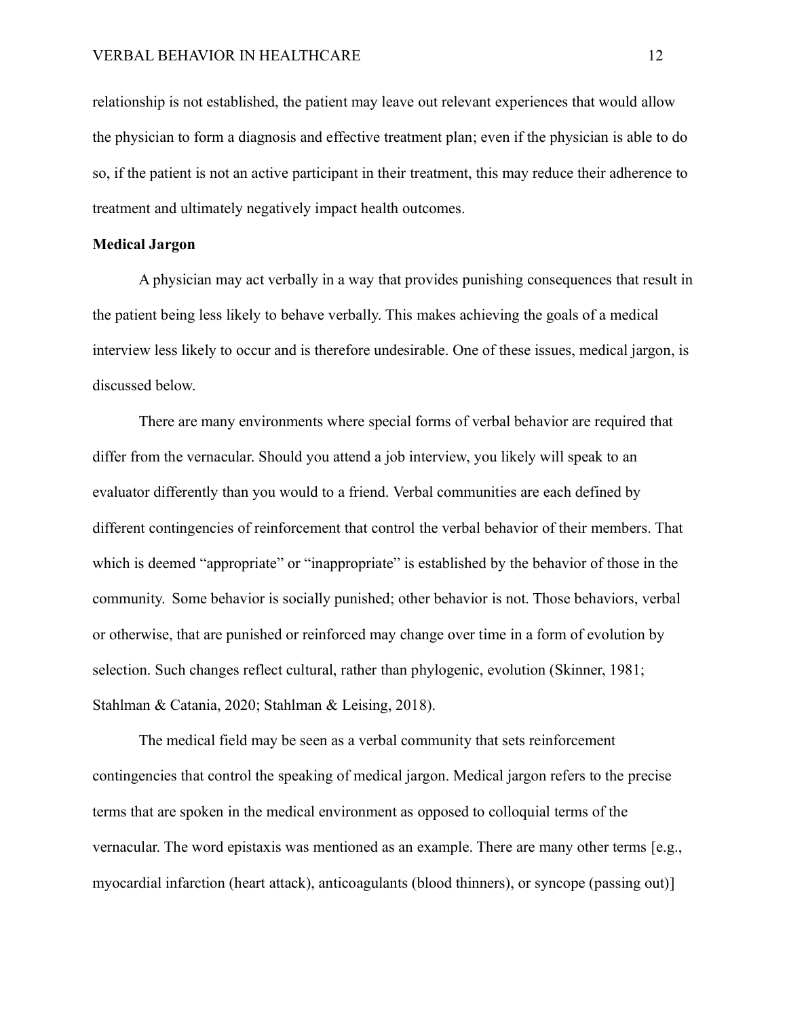relationship is not established, the patient may leave out relevant experiences that would allow the physician to form a diagnosis and effective treatment plan; even if the physician is able to do so, if the patient is not an active participant in their treatment, this may reduce their adherence to treatment and ultimately negatively impact health outcomes.

#### **Medical Jargon**

A physician may act verbally in a way that provides punishing consequences that result in the patient being less likely to behave verbally. This makes achieving the goals of a medical interview less likely to occur and is therefore undesirable. One of these issues, medical jargon, is discussed below.

There are many environments where special forms of verbal behavior are required that differ from the vernacular. Should you attend a job interview, you likely will speak to an evaluator differently than you would to a friend. Verbal communities are each defined by different contingencies of reinforcement that control the verbal behavior of their members. That which is deemed "appropriate" or "inappropriate" is established by the behavior of those in the community. Some behavior is socially punished; other behavior is not. Those behaviors, verbal or otherwise, that are punished or reinforced may change over time in a form of evolution by selection. Such changes reflect cultural, rather than phylogenic, evolution (Skinner, 1981; Stahlman & Catania, 2020; Stahlman & Leising, 2018).

The medical field may be seen as a verbal community that sets reinforcement contingencies that control the speaking of medical jargon. Medical jargon refers to the precise terms that are spoken in the medical environment as opposed to colloquial terms of the vernacular. The word epistaxis was mentioned as an example. There are many other terms [e.g., myocardial infarction (heart attack), anticoagulants (blood thinners), or syncope (passing out)]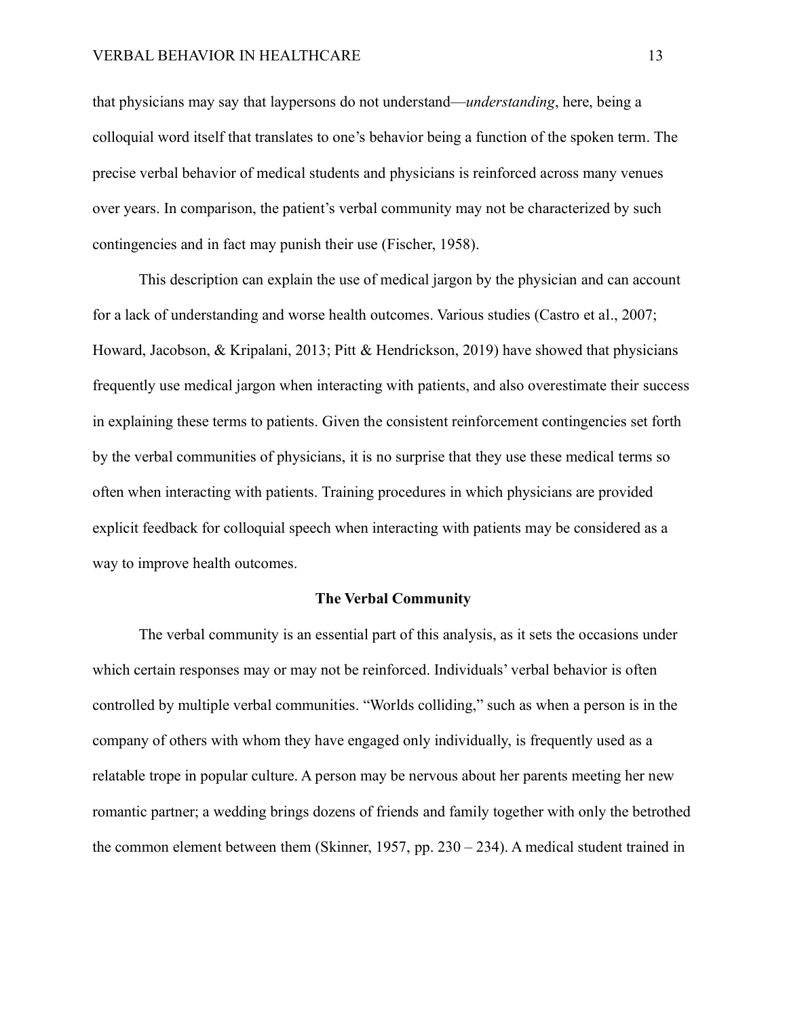#### VERBAL BEHAVIOR IN HEALTHCARE 13

that physicians may say that laypersons do not understand—*understanding*, here, being a colloquial word itself that translates to one's behavior being a function of the spoken term. The precise verbal behavior of medical students and physicians is reinforced across many venues over years. In comparison, the patient's verbal community may not be characterized by such contingencies and in fact may punish their use (Fischer, 1958).

This description can explain the use of medical jargon by the physician and can account for a lack of understanding and worse health outcomes. Various studies (Castro et al., 2007; Howard, Jacobson, & Kripalani, 2013; Pitt & Hendrickson, 2019) have showed that physicians frequently use medical jargon when interacting with patients, and also overestimate their success in explaining these terms to patients. Given the consistent reinforcement contingencies set forth by the verbal communities of physicians, it is no surprise that they use these medical terms so often when interacting with patients. Training procedures in which physicians are provided explicit feedback for colloquial speech when interacting with patients may be considered as a way to improve health outcomes.

#### **The Verbal Community**

The verbal community is an essential part of this analysis, as it sets the occasions under which certain responses may or may not be reinforced. Individuals' verbal behavior is often controlled by multiple verbal communities. "Worlds colliding," such as when a person is in the company of others with whom they have engaged only individually, is frequently used as a relatable trope in popular culture. A person may be nervous about her parents meeting her new romantic partner; a wedding brings dozens of friends and family together with only the betrothed the common element between them (Skinner, 1957, pp. 230 – 234). A medical student trained in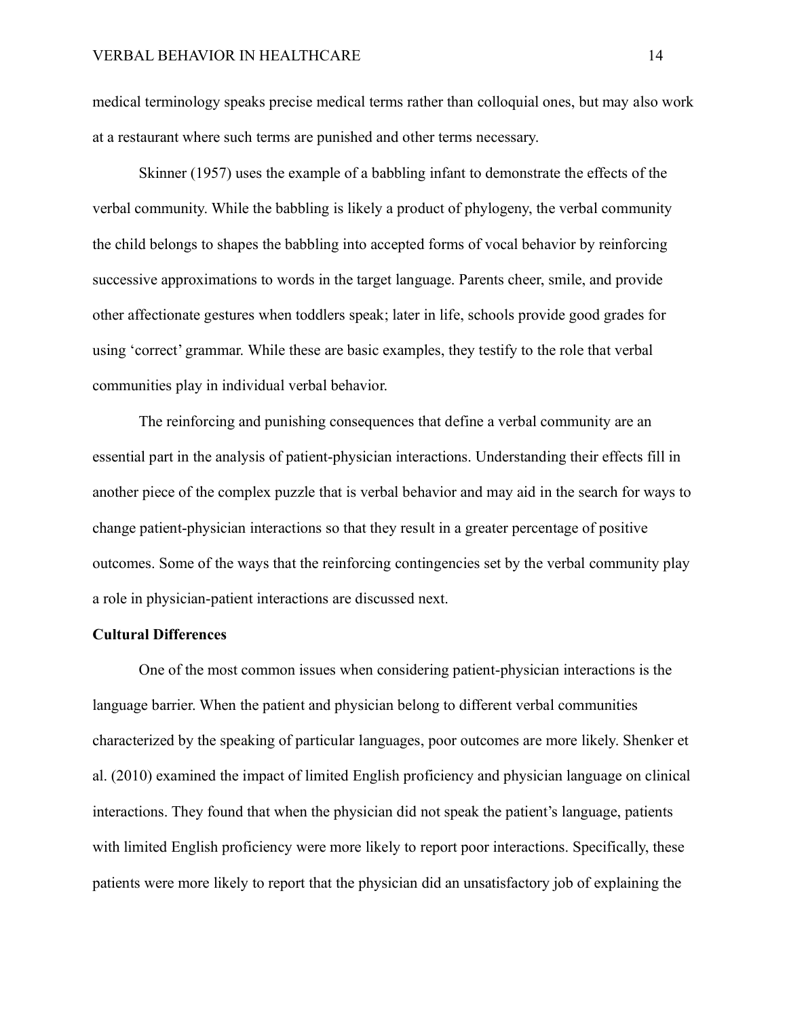medical terminology speaks precise medical terms rather than colloquial ones, but may also work at a restaurant where such terms are punished and other terms necessary.

Skinner (1957) uses the example of a babbling infant to demonstrate the effects of the verbal community. While the babbling is likely a product of phylogeny, the verbal community the child belongs to shapes the babbling into accepted forms of vocal behavior by reinforcing successive approximations to words in the target language. Parents cheer, smile, and provide other affectionate gestures when toddlers speak; later in life, schools provide good grades for using 'correct' grammar. While these are basic examples, they testify to the role that verbal communities play in individual verbal behavior.

The reinforcing and punishing consequences that define a verbal community are an essential part in the analysis of patient-physician interactions. Understanding their effects fill in another piece of the complex puzzle that is verbal behavior and may aid in the search for ways to change patient-physician interactions so that they result in a greater percentage of positive outcomes. Some of the ways that the reinforcing contingencies set by the verbal community play a role in physician-patient interactions are discussed next.

#### **Cultural Differences**

One of the most common issues when considering patient-physician interactions is the language barrier. When the patient and physician belong to different verbal communities characterized by the speaking of particular languages, poor outcomes are more likely. Shenker et al. (2010) examined the impact of limited English proficiency and physician language on clinical interactions. They found that when the physician did not speak the patient's language, patients with limited English proficiency were more likely to report poor interactions. Specifically, these patients were more likely to report that the physician did an unsatisfactory job of explaining the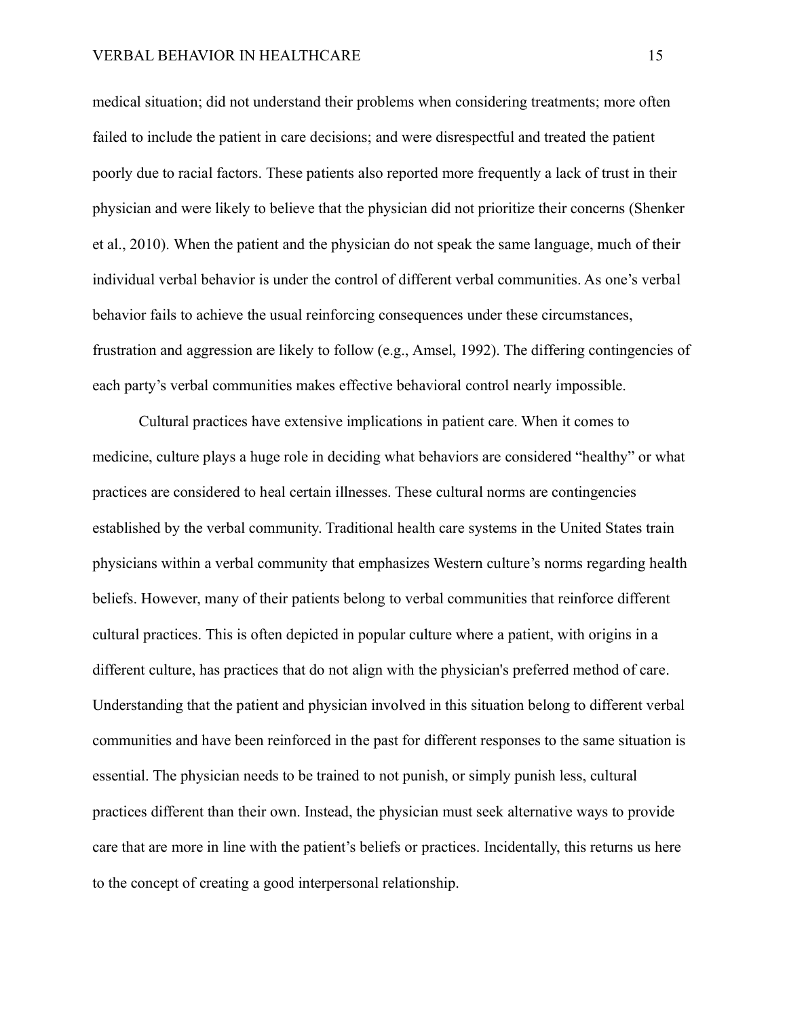medical situation; did not understand their problems when considering treatments; more often failed to include the patient in care decisions; and were disrespectful and treated the patient poorly due to racial factors. These patients also reported more frequently a lack of trust in their physician and were likely to believe that the physician did not prioritize their concerns (Shenker et al., 2010). When the patient and the physician do not speak the same language, much of their individual verbal behavior is under the control of different verbal communities. As one's verbal behavior fails to achieve the usual reinforcing consequences under these circumstances, frustration and aggression are likely to follow (e.g., Amsel, 1992). The differing contingencies of each party's verbal communities makes effective behavioral control nearly impossible.

Cultural practices have extensive implications in patient care. When it comes to medicine, culture plays a huge role in deciding what behaviors are considered "healthy" or what practices are considered to heal certain illnesses. These cultural norms are contingencies established by the verbal community. Traditional health care systems in the United States train physicians within a verbal community that emphasizes Western culture's norms regarding health beliefs. However, many of their patients belong to verbal communities that reinforce different cultural practices. This is often depicted in popular culture where a patient, with origins in a different culture, has practices that do not align with the physician's preferred method of care. Understanding that the patient and physician involved in this situation belong to different verbal communities and have been reinforced in the past for different responses to the same situation is essential. The physician needs to be trained to not punish, or simply punish less, cultural practices different than their own. Instead, the physician must seek alternative ways to provide care that are more in line with the patient's beliefs or practices. Incidentally, this returns us here to the concept of creating a good interpersonal relationship.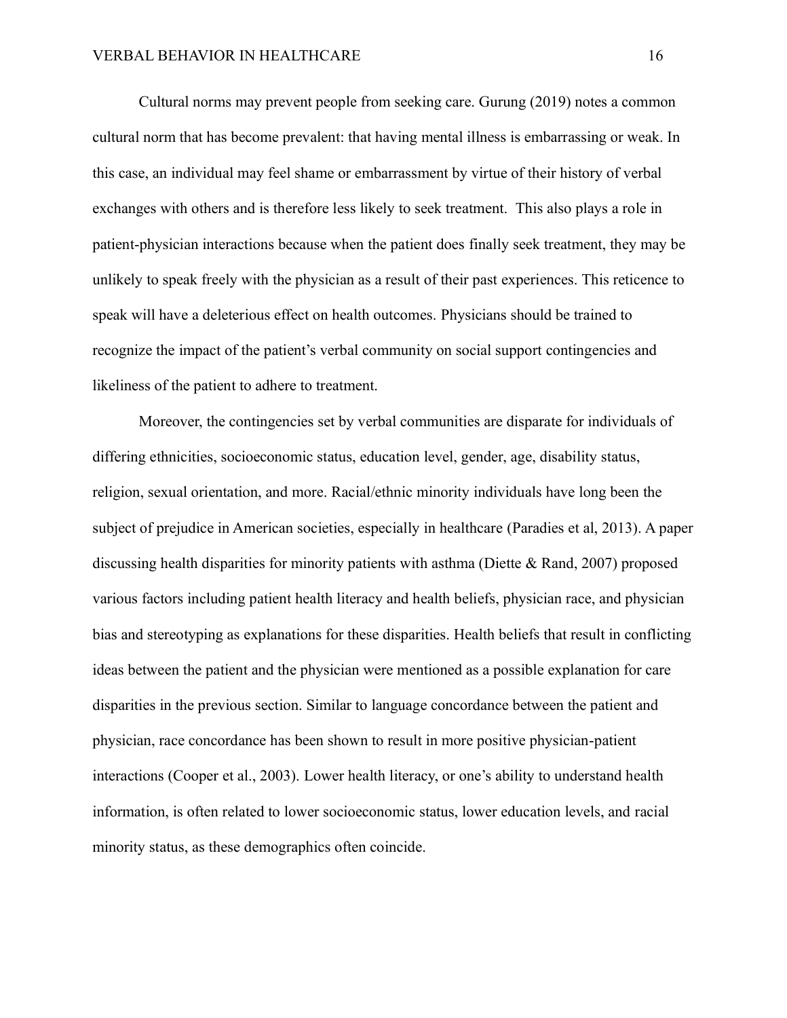Cultural norms may prevent people from seeking care. Gurung (2019) notes a common cultural norm that has become prevalent: that having mental illness is embarrassing or weak. In this case, an individual may feel shame or embarrassment by virtue of their history of verbal exchanges with others and is therefore less likely to seek treatment. This also plays a role in patient-physician interactions because when the patient does finally seek treatment, they may be unlikely to speak freely with the physician as a result of their past experiences. This reticence to speak will have a deleterious effect on health outcomes. Physicians should be trained to recognize the impact of the patient's verbal community on social support contingencies and likeliness of the patient to adhere to treatment.

Moreover, the contingencies set by verbal communities are disparate for individuals of differing ethnicities, socioeconomic status, education level, gender, age, disability status, religion, sexual orientation, and more. Racial/ethnic minority individuals have long been the subject of prejudice in American societies, especially in healthcare (Paradies et al, 2013). A paper discussing health disparities for minority patients with asthma (Diette & Rand, 2007) proposed various factors including patient health literacy and health beliefs, physician race, and physician bias and stereotyping as explanations for these disparities. Health beliefs that result in conflicting ideas between the patient and the physician were mentioned as a possible explanation for care disparities in the previous section. Similar to language concordance between the patient and physician, race concordance has been shown to result in more positive physician-patient interactions (Cooper et al., 2003). Lower health literacy, or one's ability to understand health information, is often related to lower socioeconomic status, lower education levels, and racial minority status, as these demographics often coincide.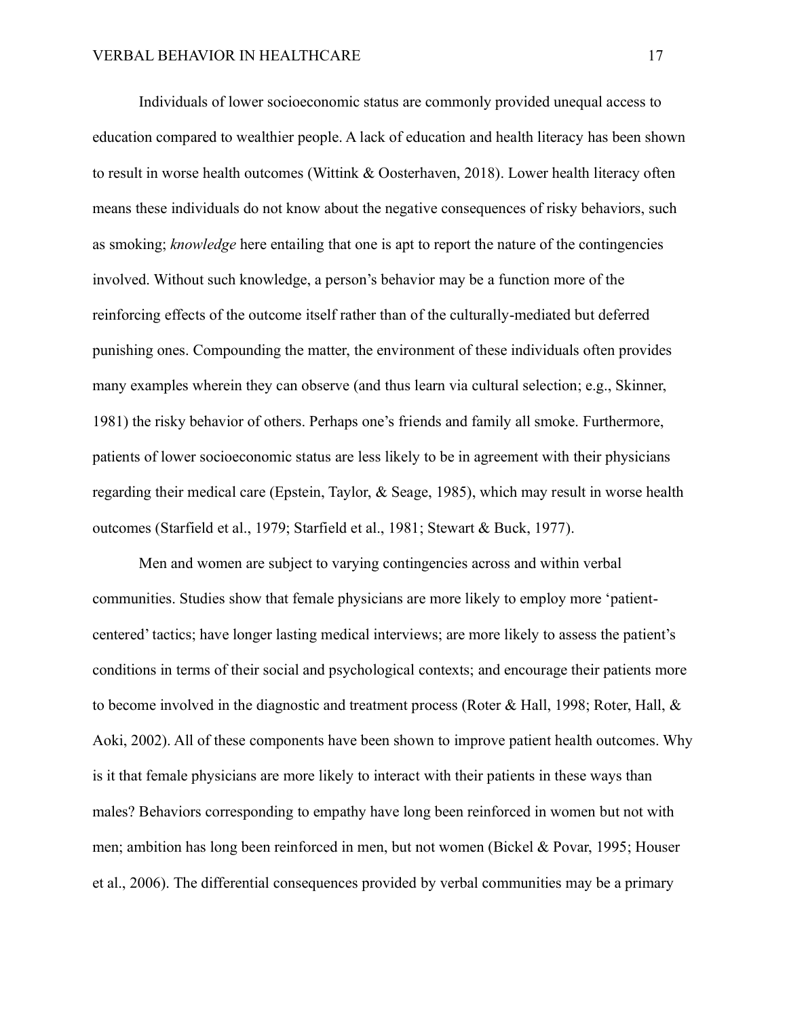Individuals of lower socioeconomic status are commonly provided unequal access to education compared to wealthier people. A lack of education and health literacy has been shown to result in worse health outcomes (Wittink & Oosterhaven, 2018). Lower health literacy often means these individuals do not know about the negative consequences of risky behaviors, such as smoking; *knowledge* here entailing that one is apt to report the nature of the contingencies involved. Without such knowledge, a person's behavior may be a function more of the reinforcing effects of the outcome itself rather than of the culturally-mediated but deferred punishing ones. Compounding the matter, the environment of these individuals often provides many examples wherein they can observe (and thus learn via cultural selection; e.g., Skinner, 1981) the risky behavior of others. Perhaps one's friends and family all smoke. Furthermore, patients of lower socioeconomic status are less likely to be in agreement with their physicians regarding their medical care (Epstein, Taylor, & Seage, 1985), which may result in worse health outcomes (Starfield et al., 1979; Starfield et al., 1981; Stewart & Buck, 1977).

Men and women are subject to varying contingencies across and within verbal communities. Studies show that female physicians are more likely to employ more 'patientcentered' tactics; have longer lasting medical interviews; are more likely to assess the patient's conditions in terms of their social and psychological contexts; and encourage their patients more to become involved in the diagnostic and treatment process (Roter & Hall, 1998; Roter, Hall, & Aoki, 2002). All of these components have been shown to improve patient health outcomes. Why is it that female physicians are more likely to interact with their patients in these ways than males? Behaviors corresponding to empathy have long been reinforced in women but not with men; ambition has long been reinforced in men, but not women (Bickel & Povar, 1995; Houser et al., 2006). The differential consequences provided by verbal communities may be a primary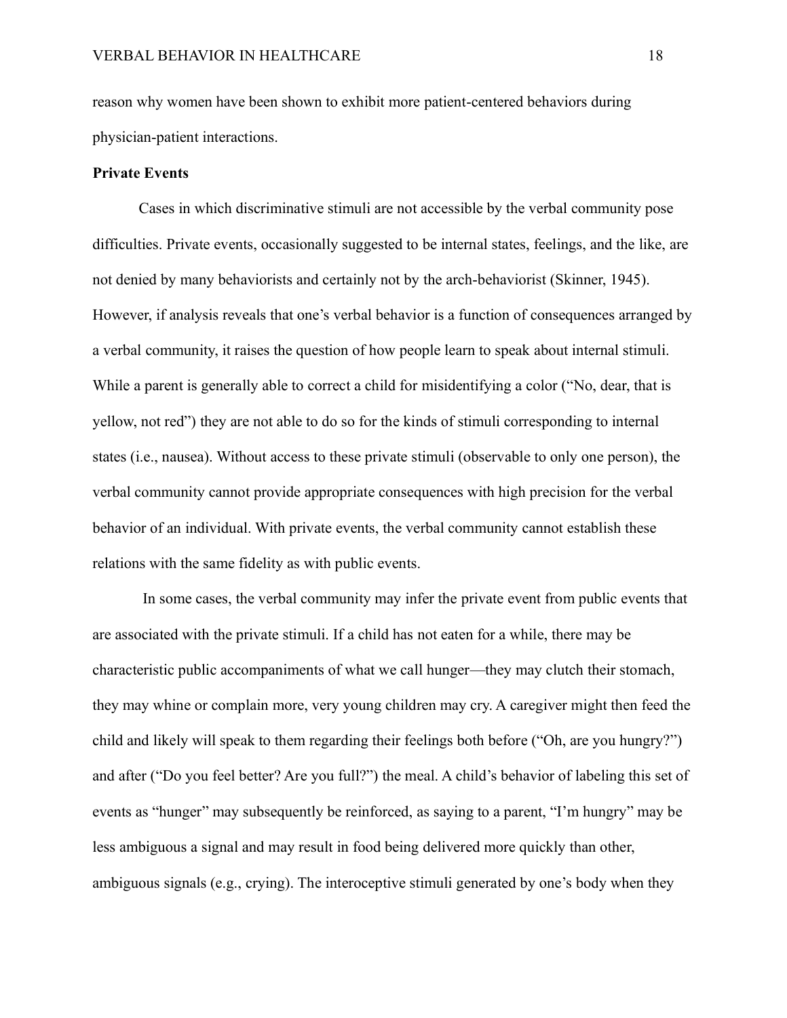reason why women have been shown to exhibit more patient-centered behaviors during physician-patient interactions.

#### **Private Events**

Cases in which discriminative stimuli are not accessible by the verbal community pose difficulties. Private events, occasionally suggested to be internal states, feelings, and the like, are not denied by many behaviorists and certainly not by the arch-behaviorist (Skinner, 1945). However, if analysis reveals that one's verbal behavior is a function of consequences arranged by a verbal community, it raises the question of how people learn to speak about internal stimuli. While a parent is generally able to correct a child for misidentifying a color ("No, dear, that is yellow, not red") they are not able to do so for the kinds of stimuli corresponding to internal states (i.e., nausea). Without access to these private stimuli (observable to only one person), the verbal community cannot provide appropriate consequences with high precision for the verbal behavior of an individual. With private events, the verbal community cannot establish these relations with the same fidelity as with public events.

In some cases, the verbal community may infer the private event from public events that are associated with the private stimuli. If a child has not eaten for a while, there may be characteristic public accompaniments of what we call hunger—they may clutch their stomach, they may whine or complain more, very young children may cry. A caregiver might then feed the child and likely will speak to them regarding their feelings both before ("Oh, are you hungry?") and after ("Do you feel better? Are you full?") the meal. A child's behavior of labeling this set of events as "hunger" may subsequently be reinforced, as saying to a parent, "I'm hungry" may be less ambiguous a signal and may result in food being delivered more quickly than other, ambiguous signals (e.g., crying). The interoceptive stimuli generated by one's body when they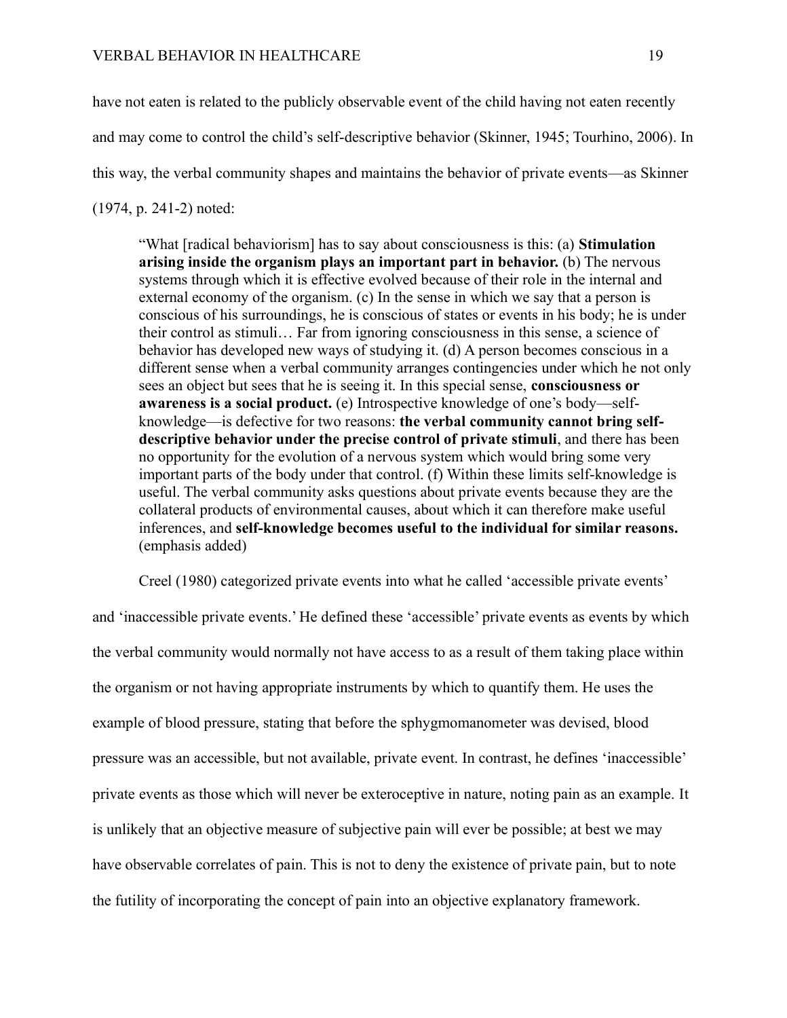have not eaten is related to the publicly observable event of the child having not eaten recently and may come to control the child's self-descriptive behavior (Skinner, 1945; Tourhino, 2006). In this way, the verbal community shapes and maintains the behavior of private events—as Skinner (1974, p. 241-2) noted:

"What [radical behaviorism] has to say about consciousness is this: (a) **Stimulation arising inside the organism plays an important part in behavior.** (b) The nervous systems through which it is effective evolved because of their role in the internal and external economy of the organism. (c) In the sense in which we say that a person is conscious of his surroundings, he is conscious of states or events in his body; he is under their control as stimuli… Far from ignoring consciousness in this sense, a science of behavior has developed new ways of studying it. (d) A person becomes conscious in a different sense when a verbal community arranges contingencies under which he not only sees an object but sees that he is seeing it. In this special sense, **consciousness or awareness is a social product.** (e) Introspective knowledge of one's body—selfknowledge—is defective for two reasons: **the verbal community cannot bring selfdescriptive behavior under the precise control of private stimuli**, and there has been no opportunity for the evolution of a nervous system which would bring some very important parts of the body under that control. (f) Within these limits self-knowledge is useful. The verbal community asks questions about private events because they are the collateral products of environmental causes, about which it can therefore make useful inferences, and **self-knowledge becomes useful to the individual for similar reasons.** (emphasis added)

Creel (1980) categorized private events into what he called 'accessible private events'

and 'inaccessible private events.' He defined these 'accessible' private events as events by which the verbal community would normally not have access to as a result of them taking place within the organism or not having appropriate instruments by which to quantify them. He uses the example of blood pressure, stating that before the sphygmomanometer was devised, blood pressure was an accessible, but not available, private event. In contrast, he defines 'inaccessible' private events as those which will never be exteroceptive in nature, noting pain as an example. It is unlikely that an objective measure of subjective pain will ever be possible; at best we may have observable correlates of pain. This is not to deny the existence of private pain, but to note the futility of incorporating the concept of pain into an objective explanatory framework.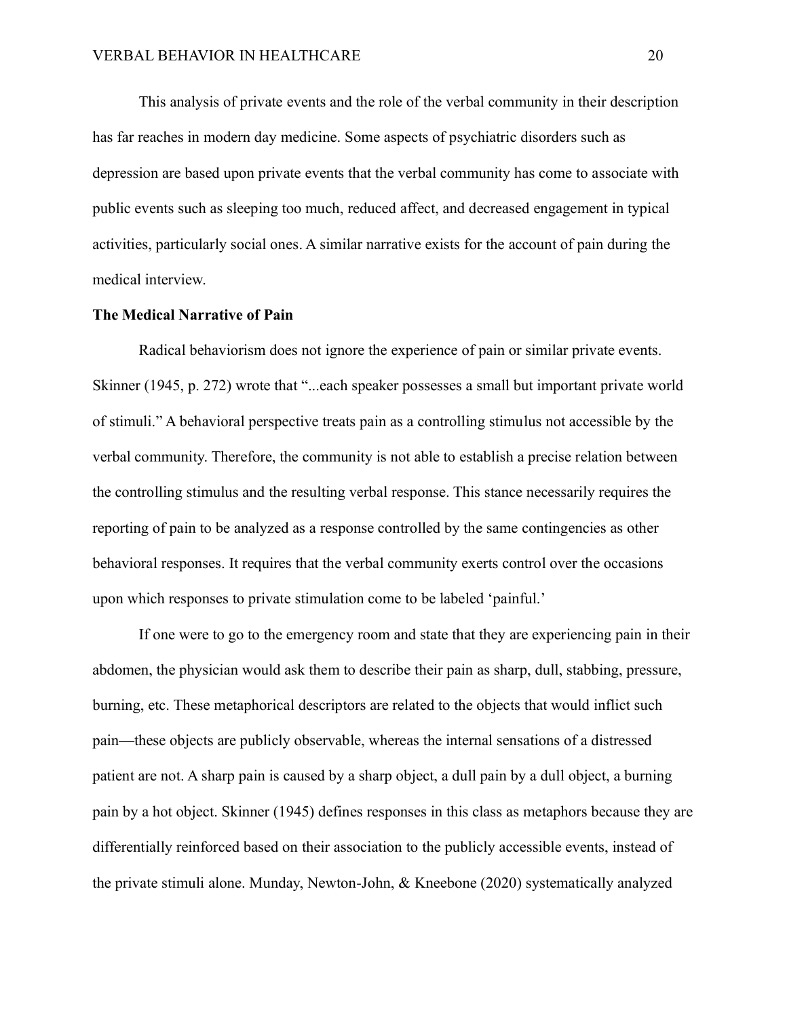This analysis of private events and the role of the verbal community in their description has far reaches in modern day medicine. Some aspects of psychiatric disorders such as depression are based upon private events that the verbal community has come to associate with public events such as sleeping too much, reduced affect, and decreased engagement in typical activities, particularly social ones. A similar narrative exists for the account of pain during the medical interview.

#### **The Medical Narrative of Pain**

Radical behaviorism does not ignore the experience of pain or similar private events. Skinner (1945, p. 272) wrote that "...each speaker possesses a small but important private world of stimuli." A behavioral perspective treats pain as a controlling stimulus not accessible by the verbal community. Therefore, the community is not able to establish a precise relation between the controlling stimulus and the resulting verbal response. This stance necessarily requires the reporting of pain to be analyzed as a response controlled by the same contingencies as other behavioral responses. It requires that the verbal community exerts control over the occasions upon which responses to private stimulation come to be labeled 'painful.'

If one were to go to the emergency room and state that they are experiencing pain in their abdomen, the physician would ask them to describe their pain as sharp, dull, stabbing, pressure, burning, etc. These metaphorical descriptors are related to the objects that would inflict such pain—these objects are publicly observable, whereas the internal sensations of a distressed patient are not. A sharp pain is caused by a sharp object, a dull pain by a dull object, a burning pain by a hot object. Skinner (1945) defines responses in this class as metaphors because they are differentially reinforced based on their association to the publicly accessible events, instead of the private stimuli alone. Munday, Newton-John, & Kneebone (2020) systematically analyzed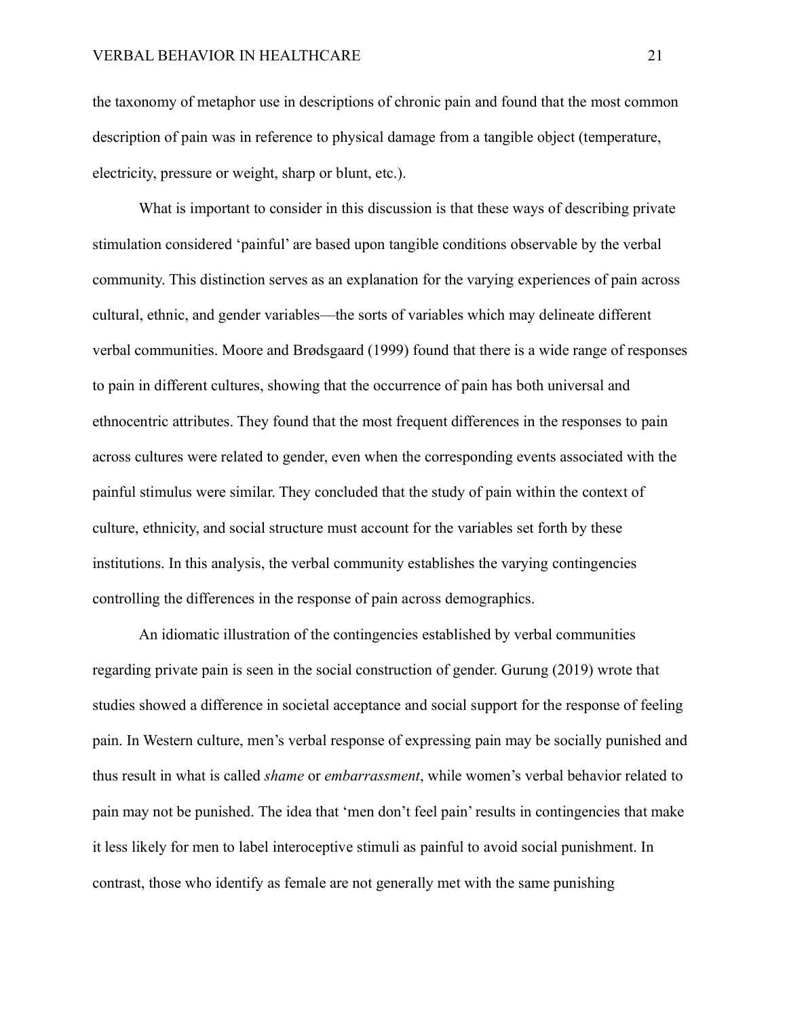the taxonomy of metaphor use in descriptions of chronic pain and found that the most common description of pain was in reference to physical damage from a tangible object (temperature, electricity, pressure or weight, sharp or blunt, etc.).

What is important to consider in this discussion is that these ways of describing private stimulation considered 'painful' are based upon tangible conditions observable by the verbal community. This distinction serves as an explanation for the varying experiences of pain across cultural, ethnic, and gender variables—the sorts of variables which may delineate different verbal communities. Moore and Brødsgaard (1999) found that there is a wide range of responses to pain in different cultures, showing that the occurrence of pain has both universal and ethnocentric attributes. They found that the most frequent differences in the responses to pain across cultures were related to gender, even when the corresponding events associated with the painful stimulus were similar. They concluded that the study of pain within the context of culture, ethnicity, and social structure must account for the variables set forth by these institutions. In this analysis, the verbal community establishes the varying contingencies controlling the differences in the response of pain across demographics.

An idiomatic illustration of the contingencies established by verbal communities regarding private pain is seen in the social construction of gender. Gurung (2019) wrote that studies showed a difference in societal acceptance and social support for the response of feeling pain. In Western culture, men's verbal response of expressing pain may be socially punished and thus result in what is called *shame* or *embarrassment*, while women's verbal behavior related to pain may not be punished. The idea that 'men don't feel pain' results in contingencies that make it less likely for men to label interoceptive stimuli as painful to avoid social punishment. In contrast, those who identify as female are not generally met with the same punishing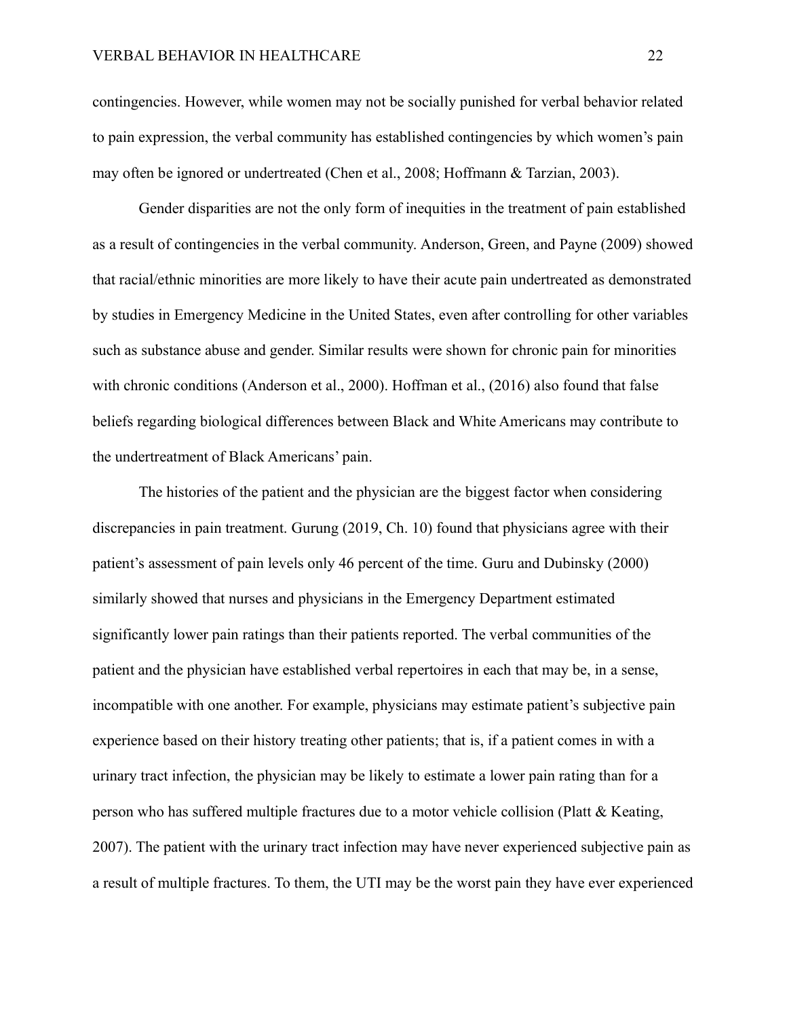contingencies. However, while women may not be socially punished for verbal behavior related to pain expression, the verbal community has established contingencies by which women's pain may often be ignored or undertreated (Chen et al., 2008; Hoffmann & Tarzian, 2003).

Gender disparities are not the only form of inequities in the treatment of pain established as a result of contingencies in the verbal community. Anderson, Green, and Payne (2009) showed that racial/ethnic minorities are more likely to have their acute pain undertreated as demonstrated by studies in Emergency Medicine in the United States, even after controlling for other variables such as substance abuse and gender. Similar results were shown for chronic pain for minorities with chronic conditions (Anderson et al., 2000). Hoffman et al., (2016) also found that false beliefs regarding biological differences between Black and White Americans may contribute to the undertreatment of Black Americans' pain.

The histories of the patient and the physician are the biggest factor when considering discrepancies in pain treatment. Gurung (2019, Ch. 10) found that physicians agree with their patient's assessment of pain levels only 46 percent of the time. Guru and Dubinsky (2000) similarly showed that nurses and physicians in the Emergency Department estimated significantly lower pain ratings than their patients reported. The verbal communities of the patient and the physician have established verbal repertoires in each that may be, in a sense, incompatible with one another. For example, physicians may estimate patient's subjective pain experience based on their history treating other patients; that is, if a patient comes in with a urinary tract infection, the physician may be likely to estimate a lower pain rating than for a person who has suffered multiple fractures due to a motor vehicle collision (Platt & Keating, 2007). The patient with the urinary tract infection may have never experienced subjective pain as a result of multiple fractures. To them, the UTI may be the worst pain they have ever experienced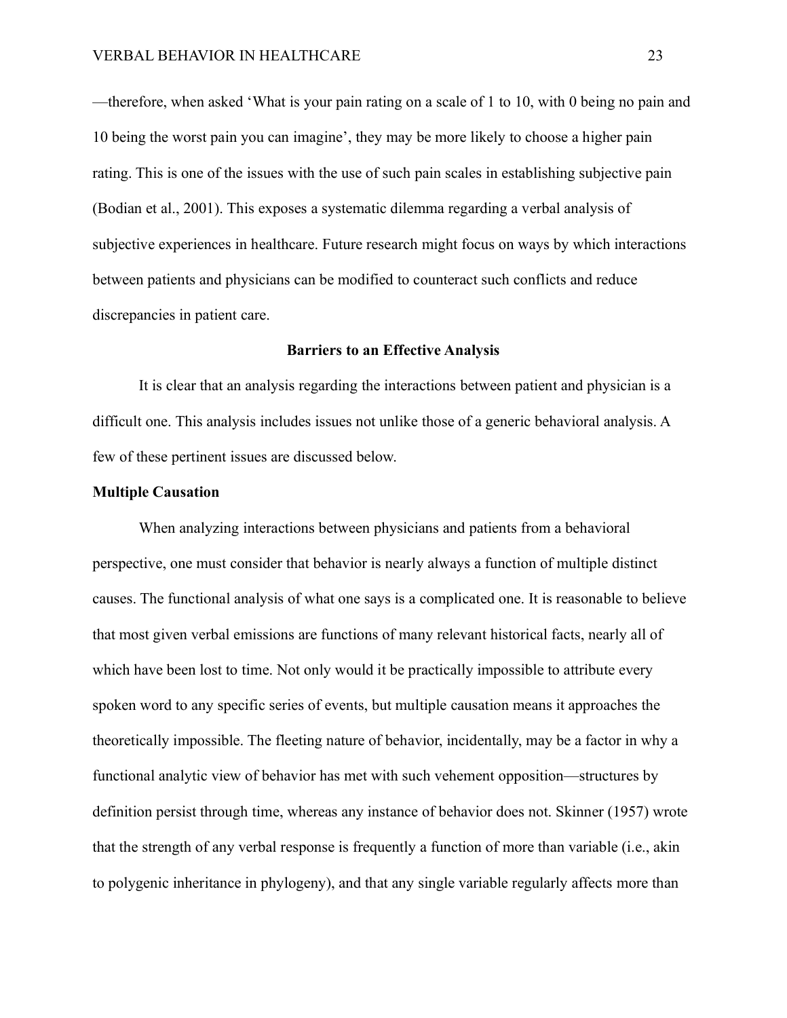—therefore, when asked 'What is your pain rating on a scale of 1 to 10, with 0 being no pain and 10 being the worst pain you can imagine', they may be more likely to choose a higher pain rating. This is one of the issues with the use of such pain scales in establishing subjective pain (Bodian et al., 2001). This exposes a systematic dilemma regarding a verbal analysis of subjective experiences in healthcare. Future research might focus on ways by which interactions between patients and physicians can be modified to counteract such conflicts and reduce discrepancies in patient care.

#### **Barriers to an Effective Analysis**

It is clear that an analysis regarding the interactions between patient and physician is a difficult one. This analysis includes issues not unlike those of a generic behavioral analysis. A few of these pertinent issues are discussed below.

#### **Multiple Causation**

When analyzing interactions between physicians and patients from a behavioral perspective, one must consider that behavior is nearly always a function of multiple distinct causes. The functional analysis of what one says is a complicated one. It is reasonable to believe that most given verbal emissions are functions of many relevant historical facts, nearly all of which have been lost to time. Not only would it be practically impossible to attribute every spoken word to any specific series of events, but multiple causation means it approaches the theoretically impossible. The fleeting nature of behavior, incidentally, may be a factor in why a functional analytic view of behavior has met with such vehement opposition—structures by definition persist through time, whereas any instance of behavior does not. Skinner (1957) wrote that the strength of any verbal response is frequently a function of more than variable (i.e., akin to polygenic inheritance in phylogeny), and that any single variable regularly affects more than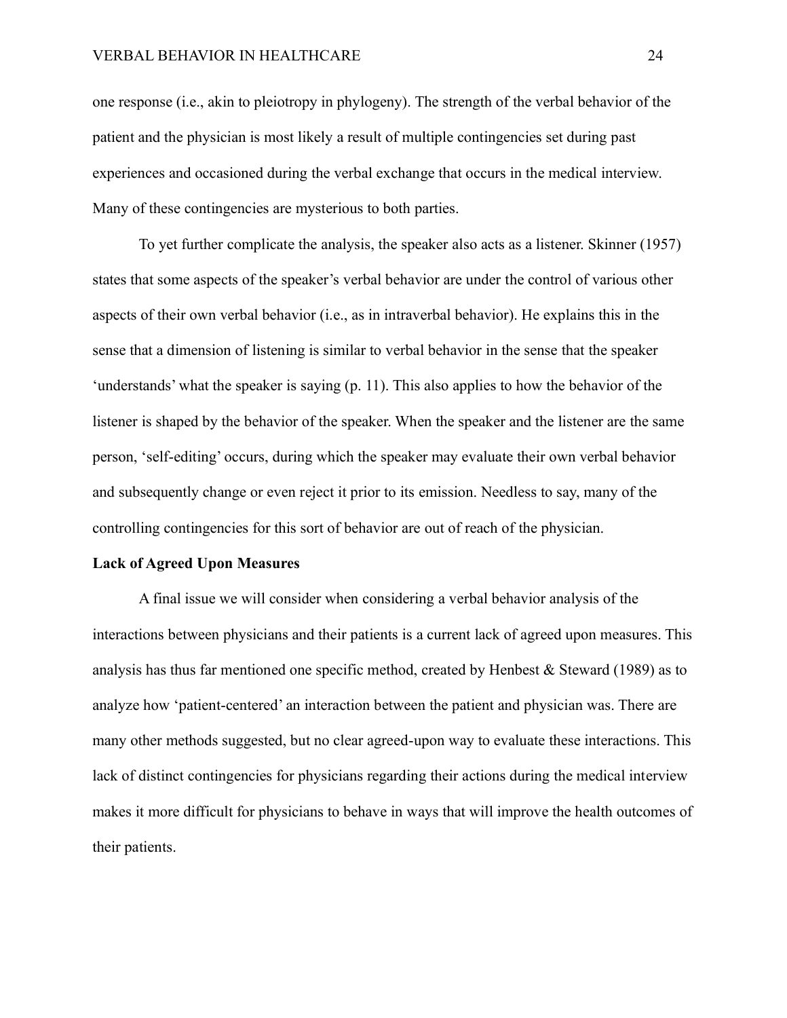one response (i.e., akin to pleiotropy in phylogeny). The strength of the verbal behavior of the patient and the physician is most likely a result of multiple contingencies set during past experiences and occasioned during the verbal exchange that occurs in the medical interview. Many of these contingencies are mysterious to both parties.

To yet further complicate the analysis, the speaker also acts as a listener. Skinner (1957) states that some aspects of the speaker's verbal behavior are under the control of various other aspects of their own verbal behavior (i.e., as in intraverbal behavior). He explains this in the sense that a dimension of listening is similar to verbal behavior in the sense that the speaker 'understands' what the speaker is saying (p. 11). This also applies to how the behavior of the listener is shaped by the behavior of the speaker. When the speaker and the listener are the same person, 'self-editing' occurs, during which the speaker may evaluate their own verbal behavior and subsequently change or even reject it prior to its emission. Needless to say, many of the controlling contingencies for this sort of behavior are out of reach of the physician.

#### **Lack of Agreed Upon Measures**

A final issue we will consider when considering a verbal behavior analysis of the interactions between physicians and their patients is a current lack of agreed upon measures. This analysis has thus far mentioned one specific method, created by Henbest & Steward (1989) as to analyze how 'patient-centered' an interaction between the patient and physician was. There are many other methods suggested, but no clear agreed-upon way to evaluate these interactions. This lack of distinct contingencies for physicians regarding their actions during the medical interview makes it more difficult for physicians to behave in ways that will improve the health outcomes of their patients.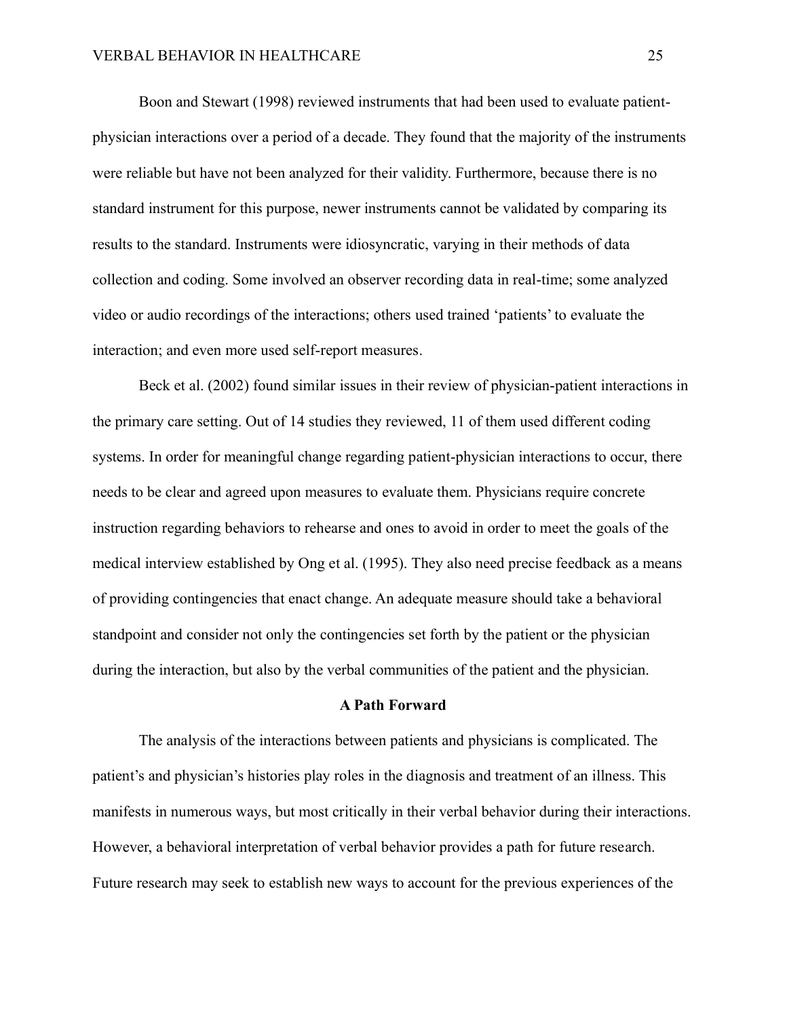Boon and Stewart (1998) reviewed instruments that had been used to evaluate patientphysician interactions over a period of a decade. They found that the majority of the instruments were reliable but have not been analyzed for their validity. Furthermore, because there is no standard instrument for this purpose, newer instruments cannot be validated by comparing its results to the standard. Instruments were idiosyncratic, varying in their methods of data collection and coding. Some involved an observer recording data in real-time; some analyzed video or audio recordings of the interactions; others used trained 'patients' to evaluate the interaction; and even more used self-report measures.

Beck et al. (2002) found similar issues in their review of physician-patient interactions in the primary care setting. Out of 14 studies they reviewed, 11 of them used different coding systems. In order for meaningful change regarding patient-physician interactions to occur, there needs to be clear and agreed upon measures to evaluate them. Physicians require concrete instruction regarding behaviors to rehearse and ones to avoid in order to meet the goals of the medical interview established by Ong et al. (1995). They also need precise feedback as a means of providing contingencies that enact change. An adequate measure should take a behavioral standpoint and consider not only the contingencies set forth by the patient or the physician during the interaction, but also by the verbal communities of the patient and the physician.

#### **A Path Forward**

The analysis of the interactions between patients and physicians is complicated. The patient's and physician's histories play roles in the diagnosis and treatment of an illness. This manifests in numerous ways, but most critically in their verbal behavior during their interactions. However, a behavioral interpretation of verbal behavior provides a path for future research. Future research may seek to establish new ways to account for the previous experiences of the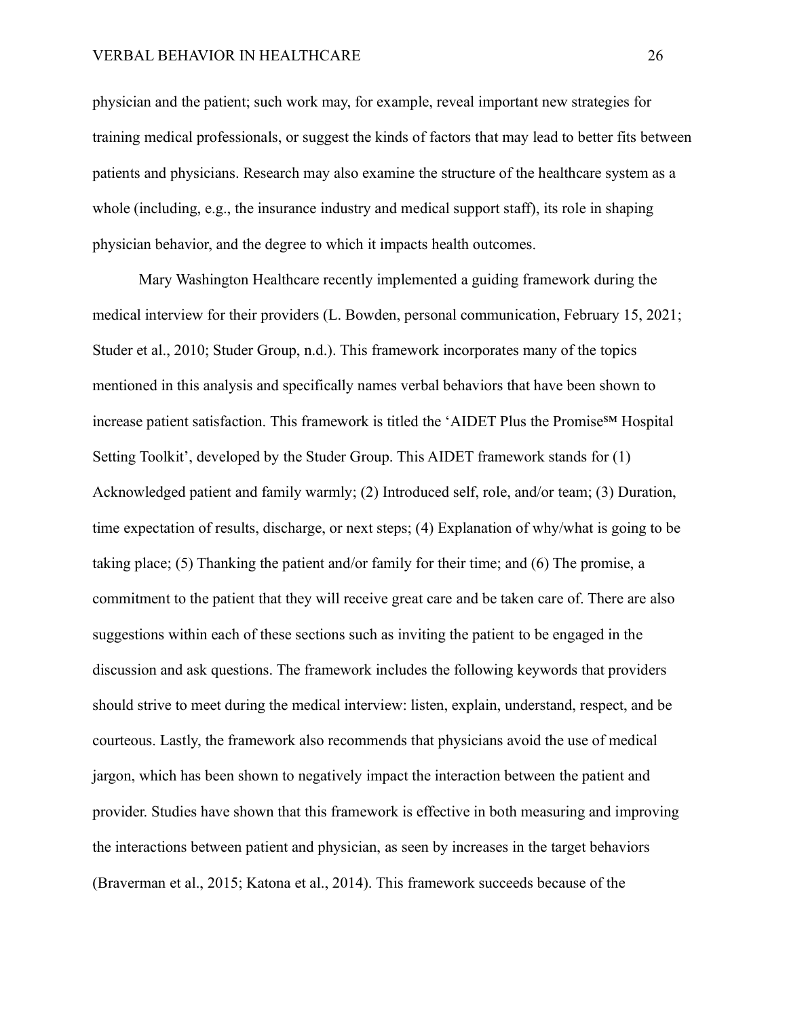physician and the patient; such work may, for example, reveal important new strategies for training medical professionals, or suggest the kinds of factors that may lead to better fits between patients and physicians. Research may also examine the structure of the healthcare system as a whole (including, e.g., the insurance industry and medical support staff), its role in shaping physician behavior, and the degree to which it impacts health outcomes.

Mary Washington Healthcare recently implemented a guiding framework during the medical interview for their providers (L. Bowden, personal communication, February 15, 2021; Studer et al., 2010; Studer Group, n.d.). This framework incorporates many of the topics mentioned in this analysis and specifically names verbal behaviors that have been shown to increase patient satisfaction. This framework is titled the 'AIDET Plus the Promise<sup>SM</sup> Hospital Setting Toolkit', developed by the Studer Group. This AIDET framework stands for (1) Acknowledged patient and family warmly; (2) Introduced self, role, and/or team; (3) Duration, time expectation of results, discharge, or next steps; (4) Explanation of why/what is going to be taking place; (5) Thanking the patient and/or family for their time; and (6) The promise, a commitment to the patient that they will receive great care and be taken care of. There are also suggestions within each of these sections such as inviting the patient to be engaged in the discussion and ask questions. The framework includes the following keywords that providers should strive to meet during the medical interview: listen, explain, understand, respect, and be courteous. Lastly, the framework also recommends that physicians avoid the use of medical jargon, which has been shown to negatively impact the interaction between the patient and provider. Studies have shown that this framework is effective in both measuring and improving the interactions between patient and physician, as seen by increases in the target behaviors (Braverman et al., 2015; Katona et al., 2014). This framework succeeds because of the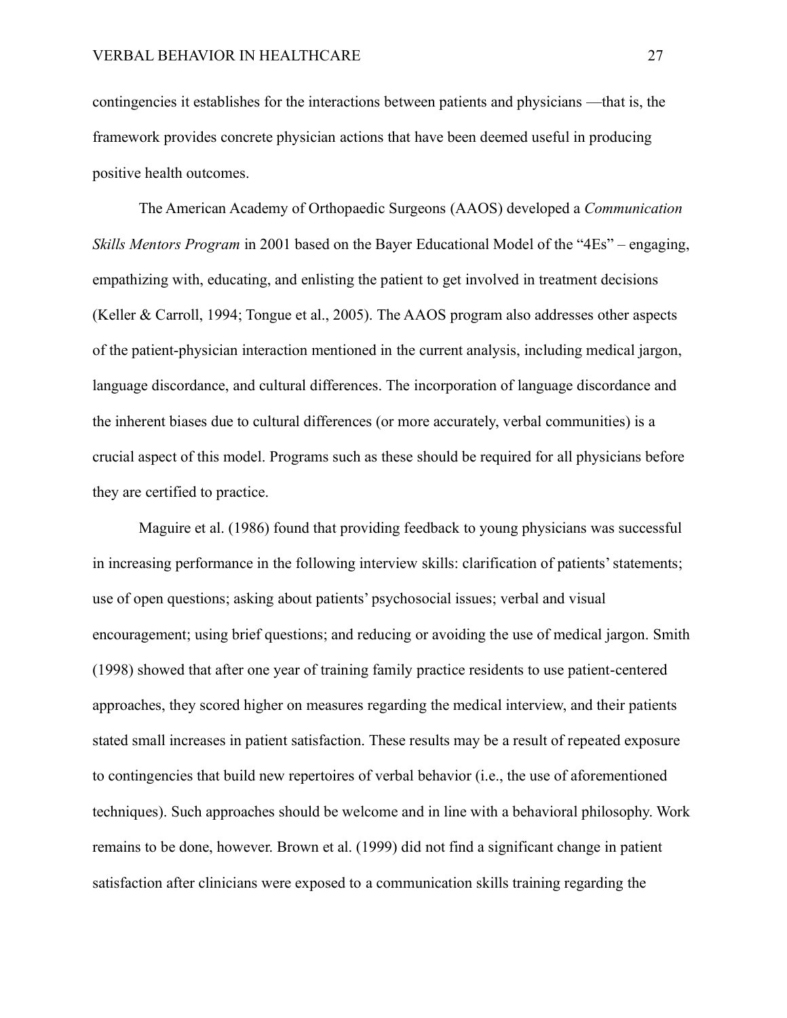contingencies it establishes for the interactions between patients and physicians —that is, the framework provides concrete physician actions that have been deemed useful in producing positive health outcomes.

The American Academy of Orthopaedic Surgeons (AAOS) developed a *Communication Skills Mentors Program* in 2001 based on the Bayer Educational Model of the "4Es" – engaging, empathizing with, educating, and enlisting the patient to get involved in treatment decisions (Keller & Carroll, 1994; Tongue et al., 2005). The AAOS program also addresses other aspects of the patient-physician interaction mentioned in the current analysis, including medical jargon, language discordance, and cultural differences. The incorporation of language discordance and the inherent biases due to cultural differences (or more accurately, verbal communities) is a crucial aspect of this model. Programs such as these should be required for all physicians before they are certified to practice.

Maguire et al. (1986) found that providing feedback to young physicians was successful in increasing performance in the following interview skills: clarification of patients' statements; use of open questions; asking about patients' psychosocial issues; verbal and visual encouragement; using brief questions; and reducing or avoiding the use of medical jargon. Smith (1998) showed that after one year of training family practice residents to use patient-centered approaches, they scored higher on measures regarding the medical interview, and their patients stated small increases in patient satisfaction. These results may be a result of repeated exposure to contingencies that build new repertoires of verbal behavior (i.e., the use of aforementioned techniques). Such approaches should be welcome and in line with a behavioral philosophy. Work remains to be done, however. Brown et al. (1999) did not find a significant change in patient satisfaction after clinicians were exposed to a communication skills training regarding the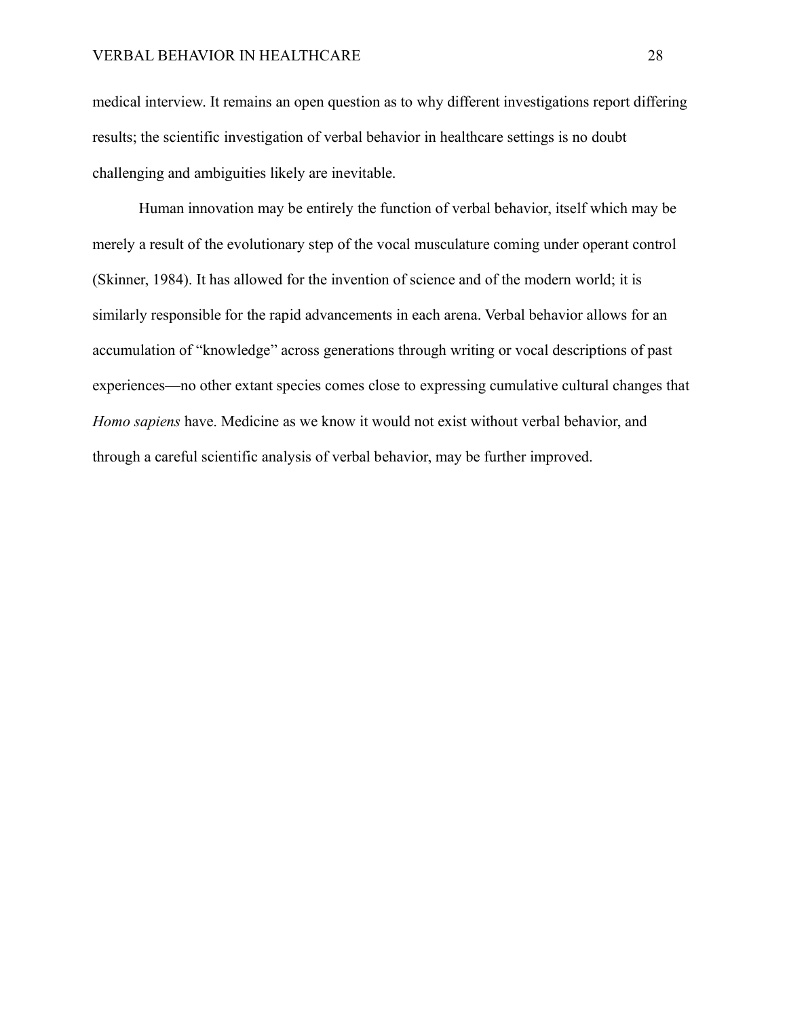medical interview. It remains an open question as to why different investigations report differing results; the scientific investigation of verbal behavior in healthcare settings is no doubt challenging and ambiguities likely are inevitable.

Human innovation may be entirely the function of verbal behavior, itself which may be merely a result of the evolutionary step of the vocal musculature coming under operant control (Skinner, 1984). It has allowed for the invention of science and of the modern world; it is similarly responsible for the rapid advancements in each arena. Verbal behavior allows for an accumulation of "knowledge" across generations through writing or vocal descriptions of past experiences—no other extant species comes close to expressing cumulative cultural changes that *Homo sapiens* have. Medicine as we know it would not exist without verbal behavior, and through a careful scientific analysis of verbal behavior, may be further improved.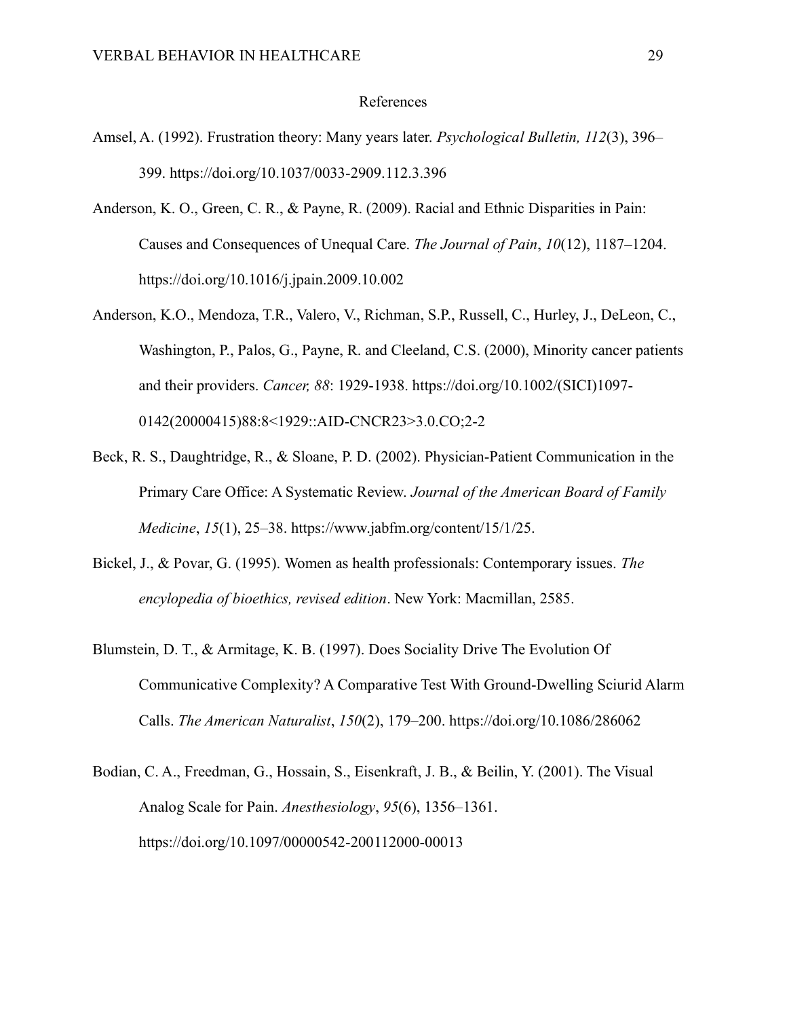#### References

- Amsel, A. (1992). Frustration theory: Many years later. *Psychological Bulletin, 112*(3), 396– 399. https://doi.org/10.1037/0033-2909.112.3.396
- Anderson, K. O., Green, C. R., & Payne, R. (2009). Racial and Ethnic Disparities in Pain: Causes and Consequences of Unequal Care. *The Journal of Pain*, *10*(12), 1187–1204. https://doi.org/10.1016/j.jpain.2009.10.002
- Anderson, K.O., Mendoza, T.R., Valero, V., Richman, S.P., Russell, C., Hurley, J., DeLeon, C., Washington, P., Palos, G., Payne, R. and Cleeland, C.S. (2000), Minority cancer patients and their providers. *Cancer, 88*: 1929-1938. https://doi.org/10.1002/(SICI)1097- 0142(20000415)88:8<1929::AID-CNCR23>3.0.CO;2-2
- Beck, R. S., Daughtridge, R., & Sloane, P. D. (2002). Physician-Patient Communication in the Primary Care Office: A Systematic Review. *Journal of the American Board of Family Medicine*, *15*(1), 25–38. https://www.jabfm.org/content/15/1/25.
- Bickel, J., & Povar, G. (1995). Women as health professionals: Contemporary issues. *The encylopedia of bioethics, revised edition*. New York: Macmillan, 2585.
- Blumstein, D. T., & Armitage, K. B. (1997). Does Sociality Drive The Evolution Of Communicative Complexity? A Comparative Test With Ground‐Dwelling Sciurid Alarm Calls. *The American Naturalist*, *150*(2), 179–200. https://doi.org/10.1086/286062
- Bodian, C. A., Freedman, G., Hossain, S., Eisenkraft, J. B., & Beilin, Y. (2001). The Visual Analog Scale for Pain. *Anesthesiology*, *95*(6), 1356–1361. https://doi.org/10.1097/00000542-200112000-00013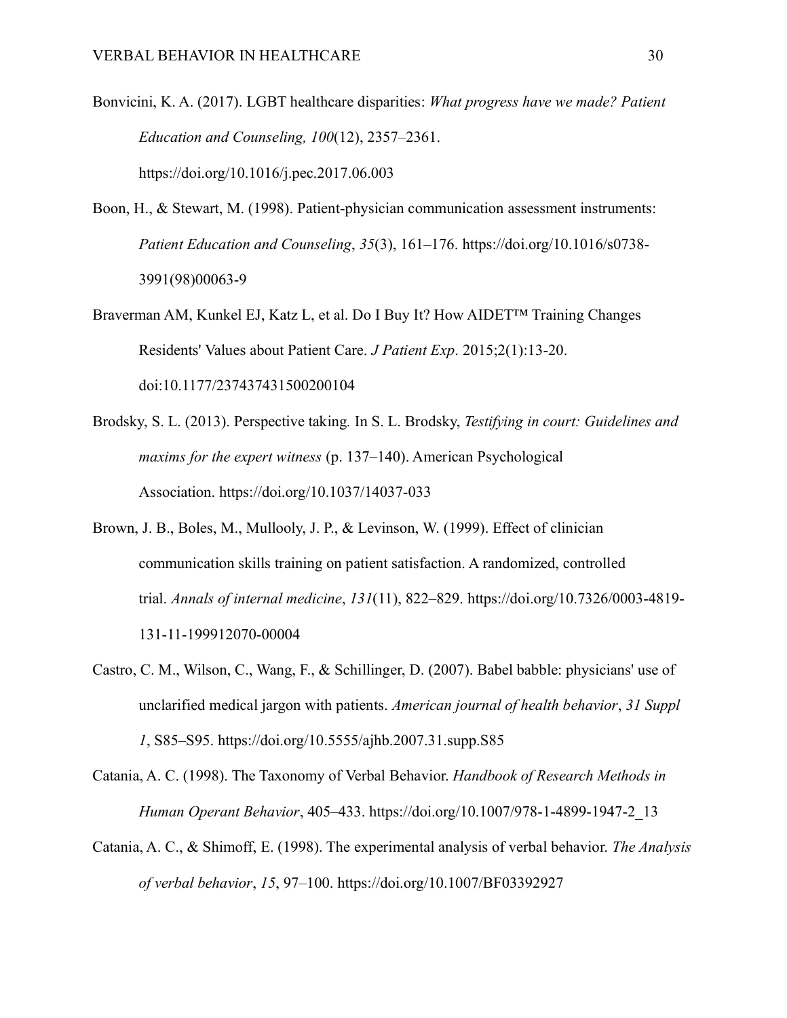- Bonvicini, K. A. (2017). LGBT healthcare disparities: *What progress have we made? Patient Education and Counseling, 100*(12), 2357–2361. https://doi.org/10.1016/j.pec.2017.06.003
- Boon, H., & Stewart, M. (1998). Patient-physician communication assessment instruments: *Patient Education and Counseling*, *35*(3), 161–176. https://doi.org/10.1016/s0738- 3991(98)00063-9
- Braverman AM, Kunkel EJ, Katz L, et al. Do I Buy It? How AIDET™ Training Changes Residents' Values about Patient Care. *J Patient Exp*. 2015;2(1):13-20. doi:10.1177/237437431500200104
- Brodsky, S. L. (2013). Perspective taking*.* In S. L. Brodsky, *Testifying in court: Guidelines and maxims for the expert witness* (p. 137–140). American Psychological Association. https://doi.org/10.1037/14037-033
- Brown, J. B., Boles, M., Mullooly, J. P., & Levinson, W. (1999). Effect of clinician communication skills training on patient satisfaction. A randomized, controlled trial. *Annals of internal medicine*, *131*(11), 822–829. https://doi.org/10.7326/0003-4819- 131-11-199912070-00004
- Castro, C. M., Wilson, C., Wang, F., & Schillinger, D. (2007). Babel babble: physicians' use of unclarified medical jargon with patients. *American journal of health behavior*, *31 Suppl 1*, S85–S95. https://doi.org/10.5555/ajhb.2007.31.supp.S85
- Catania, A. C. (1998). The Taxonomy of Verbal Behavior. *Handbook of Research Methods in Human Operant Behavior*, 405–433. https://doi.org/10.1007/978-1-4899-1947-2\_13
- Catania, A. C., & Shimoff, E. (1998). The experimental analysis of verbal behavior. *The Analysis of verbal behavior*, *15*, 97–100. https://doi.org/10.1007/BF03392927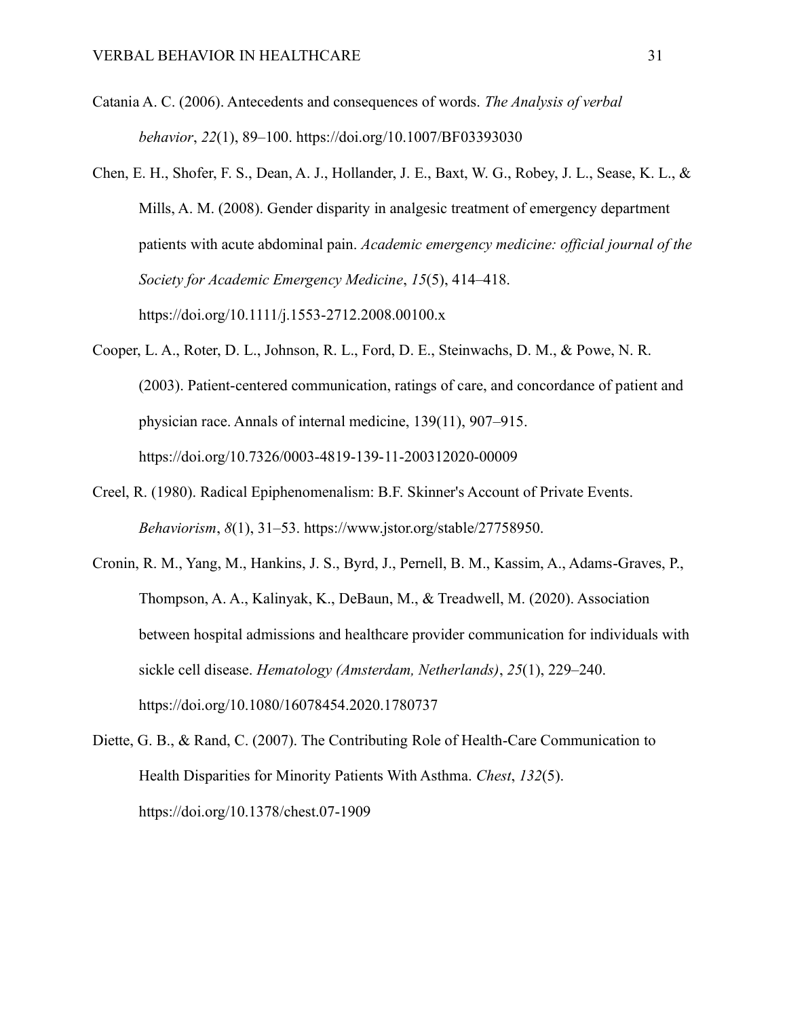- Catania A. C. (2006). Antecedents and consequences of words. *The Analysis of verbal behavior*, *22*(1), 89–100. https://doi.org/10.1007/BF03393030
- Chen, E. H., Shofer, F. S., Dean, A. J., Hollander, J. E., Baxt, W. G., Robey, J. L., Sease, K. L., & Mills, A. M. (2008). Gender disparity in analgesic treatment of emergency department patients with acute abdominal pain. *Academic emergency medicine: official journal of the Society for Academic Emergency Medicine*, *15*(5), 414–418. https://doi.org/10.1111/j.1553-2712.2008.00100.x
- Cooper, L. A., Roter, D. L., Johnson, R. L., Ford, D. E., Steinwachs, D. M., & Powe, N. R. (2003). Patient-centered communication, ratings of care, and concordance of patient and physician race. Annals of internal medicine, 139(11), 907–915. https://doi.org/10.7326/0003-4819-139-11-200312020-00009
- Creel, R. (1980). Radical Epiphenomenalism: B.F. Skinner's Account of Private Events. *Behaviorism*, *8*(1), 31–53. https://www.jstor.org/stable/27758950.
- Cronin, R. M., Yang, M., Hankins, J. S., Byrd, J., Pernell, B. M., Kassim, A., Adams-Graves, P., Thompson, A. A., Kalinyak, K., DeBaun, M., & Treadwell, M. (2020). Association between hospital admissions and healthcare provider communication for individuals with sickle cell disease. *Hematology (Amsterdam, Netherlands)*, *25*(1), 229–240. https://doi.org/10.1080/16078454.2020.1780737
- Diette, G. B., & Rand, C. (2007). The Contributing Role of Health-Care Communication to Health Disparities for Minority Patients With Asthma. *Chest*, *132*(5). https://doi.org/10.1378/chest.07-1909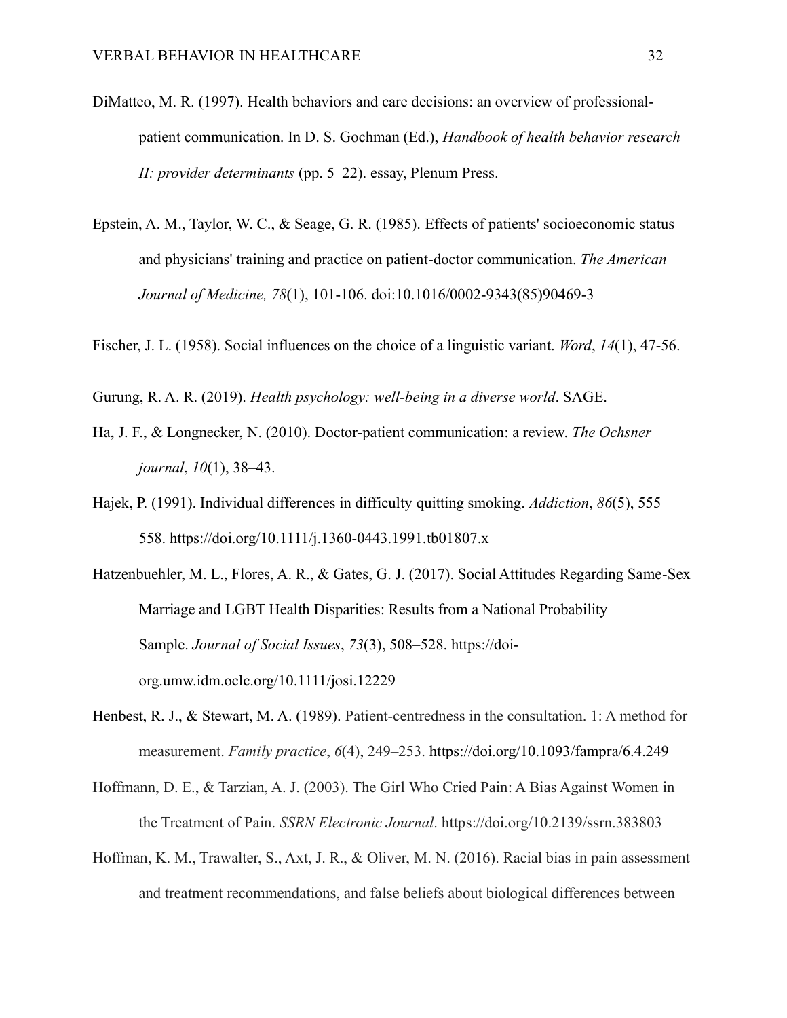- DiMatteo, M. R. (1997). Health behaviors and care decisions: an overview of professionalpatient communication. In D. S. Gochman (Ed.), *Handbook of health behavior research II: provider determinants* (pp. 5–22). essay, Plenum Press.
- Epstein, A. M., Taylor, W. C., & Seage, G. R. (1985). Effects of patients' socioeconomic status and physicians' training and practice on patient-doctor communication. *The American Journal of Medicine, 78*(1), 101-106. doi:10.1016/0002-9343(85)90469-3
- Fischer, J. L. (1958). Social influences on the choice of a linguistic variant. *Word*, *14*(1), 47-56.
- Gurung, R. A. R. (2019). *Health psychology: well-being in a diverse world*. SAGE.
- Ha, J. F., & Longnecker, N. (2010). Doctor-patient communication: a review. *The Ochsner journal*, *10*(1), 38–43.
- Hajek, P. (1991). Individual differences in difficulty quitting smoking. *Addiction*, *86*(5), 555– 558. https://doi.org/10.1111/j.1360-0443.1991.tb01807.x
- Hatzenbuehler, M. L., Flores, A. R., & Gates, G. J. (2017). Social Attitudes Regarding Same-Sex Marriage and LGBT Health Disparities: Results from a National Probability Sample. *Journal of Social Issues*, *73*(3), 508–528. https://doiorg.umw.idm.oclc.org/10.1111/josi.12229
- Henbest, R. J., & Stewart, M. A. (1989). Patient-centredness in the consultation. 1: A method for measurement. *Family practice*, *6*(4), 249–253.<https://doi.org/10.1093/fampra/6.4.249>
- Hoffmann, D. E., & Tarzian, A. J. (2003). The Girl Who Cried Pain: A Bias Against Women in the Treatment of Pain. *SSRN Electronic Journal*. https://doi.org/10.2139/ssrn.383803
- Hoffman, K. M., Trawalter, S., Axt, J. R., & Oliver, M. N. (2016). Racial bias in pain assessment and treatment recommendations, and false beliefs about biological differences between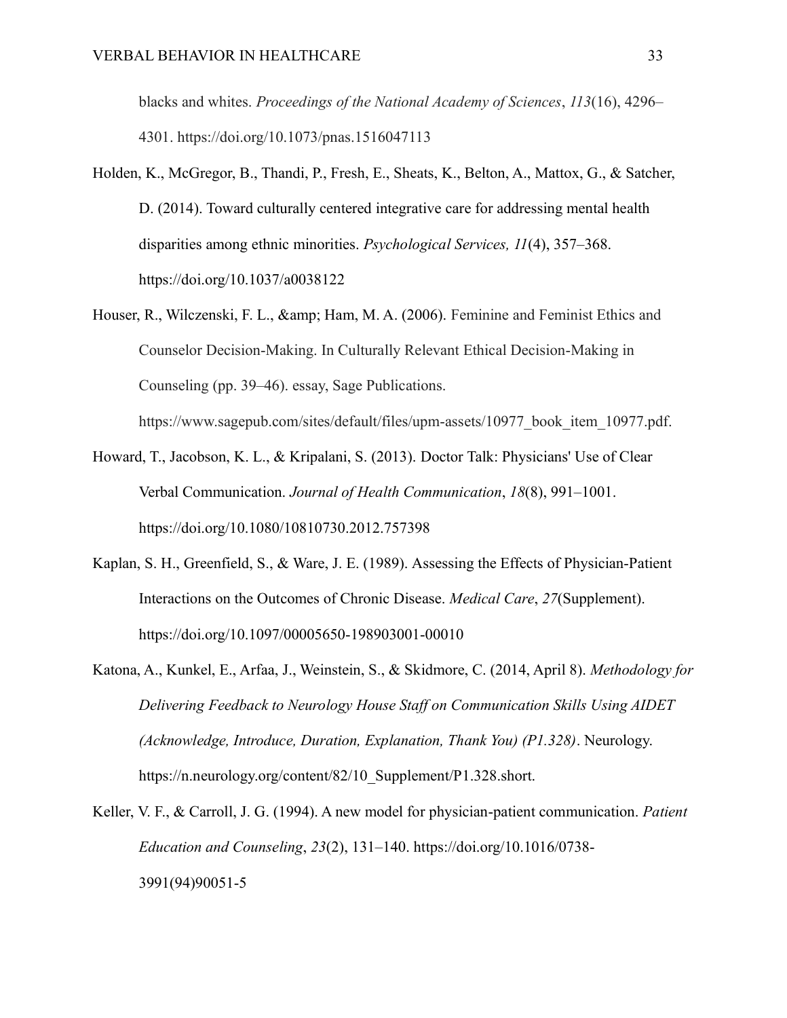blacks and whites. *Proceedings of the National Academy of Sciences*, *113*(16), 4296– 4301. https://doi.org/10.1073/pnas.1516047113

- Holden, K., McGregor, B., Thandi, P., Fresh, E., Sheats, K., Belton, A., Mattox, G., & Satcher, D. (2014). Toward culturally centered integrative care for addressing mental health disparities among ethnic minorities. *Psychological Services, 11*(4), 357–368. https://doi.org/10.1037/a0038122
- Houser, R., Wilczenski, F. L., & amp; Ham, M. A. (2006). Feminine and Feminist Ethics and Counselor Decision-Making. In Culturally Relevant Ethical Decision-Making in Counseling (pp. 39–46). essay, Sage Publications.

https://www.sagepub.com/sites/default/files/upm-assets/10977\_book\_item\_10977.pdf.

- Howard, T., Jacobson, K. L., & Kripalani, S. (2013). Doctor Talk: Physicians' Use of Clear Verbal Communication. *Journal of Health Communication*, *18*(8), 991–1001. https://doi.org/10.1080/10810730.2012.757398
- Kaplan, S. H., Greenfield, S., & Ware, J. E. (1989). Assessing the Effects of Physician-Patient Interactions on the Outcomes of Chronic Disease. *Medical Care*, *27*(Supplement). https://doi.org/10.1097/00005650-198903001-00010
- Katona, A., Kunkel, E., Arfaa, J., Weinstein, S., & Skidmore, C. (2014, April 8). *Methodology for Delivering Feedback to Neurology House Staff on Communication Skills Using AIDET (Acknowledge, Introduce, Duration, Explanation, Thank You) (P1.328)*. Neurology. https://n.neurology.org/content/82/10\_Supplement/P1.328.short.
- Keller, V. F., & Carroll, J. G. (1994). A new model for physician-patient communication. *Patient Education and Counseling*, *23*(2), 131–140. https://doi.org/10.1016/0738- 3991(94)90051-5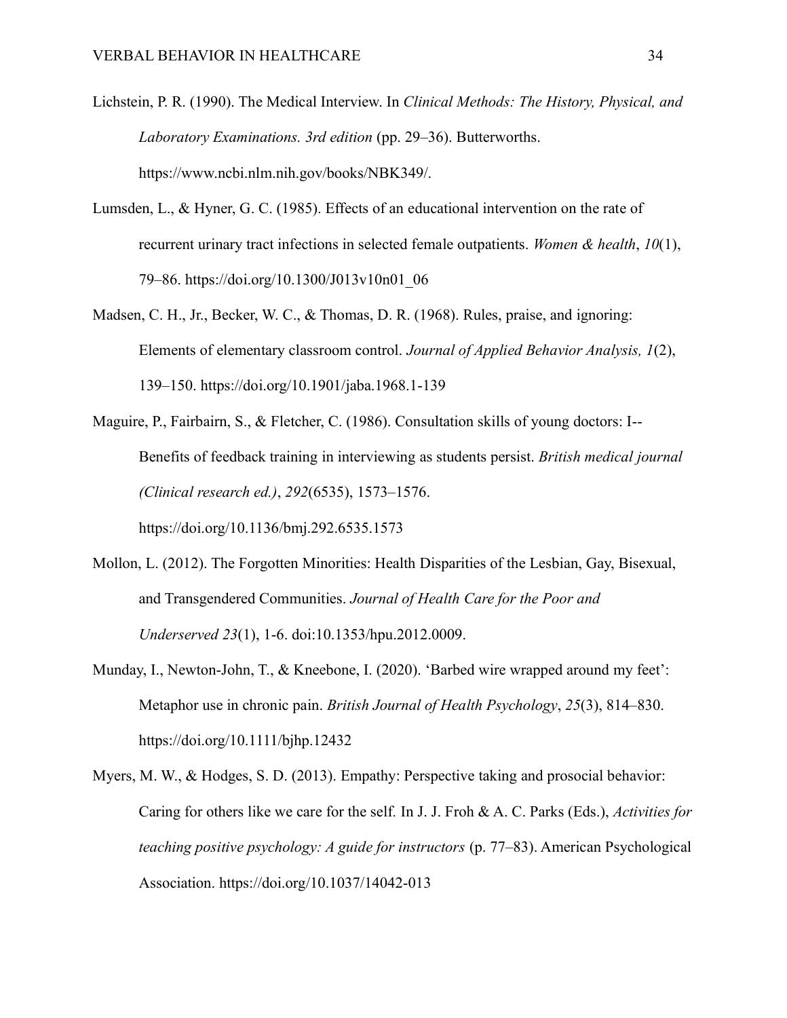- Lichstein, P. R. (1990). The Medical Interview. In *Clinical Methods: The History, Physical, and Laboratory Examinations. 3rd edition* (pp. 29–36). Butterworths. https://www.ncbi.nlm.nih.gov/books/NBK349/.
- Lumsden, L., & Hyner, G. C. (1985). Effects of an educational intervention on the rate of recurrent urinary tract infections in selected female outpatients. *Women & health*, *10*(1), 79–86. https://doi.org/10.1300/J013v10n01\_06
- Madsen, C. H., Jr., Becker, W. C., & Thomas, D. R. (1968). Rules, praise, and ignoring: Elements of elementary classroom control. *Journal of Applied Behavior Analysis, 1*(2), 139–150. https://doi.org/10.1901/jaba.1968.1-139
- Maguire, P., Fairbairn, S., & Fletcher, C. (1986). Consultation skills of young doctors: I-- Benefits of feedback training in interviewing as students persist. *British medical journal (Clinical research ed.)*, *292*(6535), 1573–1576.

https://doi.org/10.1136/bmj.292.6535.1573

- Mollon, L. (2012). The Forgotten Minorities: Health Disparities of the Lesbian, Gay, Bisexual, and Transgendered Communities. *Journal of Health Care for the Poor and Underserved 23*(1), 1-6. doi:10.1353/hpu.2012.0009.
- Munday, I., Newton‐John, T., & Kneebone, I. (2020). 'Barbed wire wrapped around my feet': Metaphor use in chronic pain. *British Journal of Health Psychology*, *25*(3), 814–830. https://doi.org/10.1111/bjhp.12432
- Myers, M. W., & Hodges, S. D. (2013). Empathy: Perspective taking and prosocial behavior: Caring for others like we care for the self*.* In J. J. Froh & A. C. Parks (Eds.), *Activities for teaching positive psychology: A guide for instructors* (p. 77–83). American Psychological Association. https://doi.org/10.1037/14042-013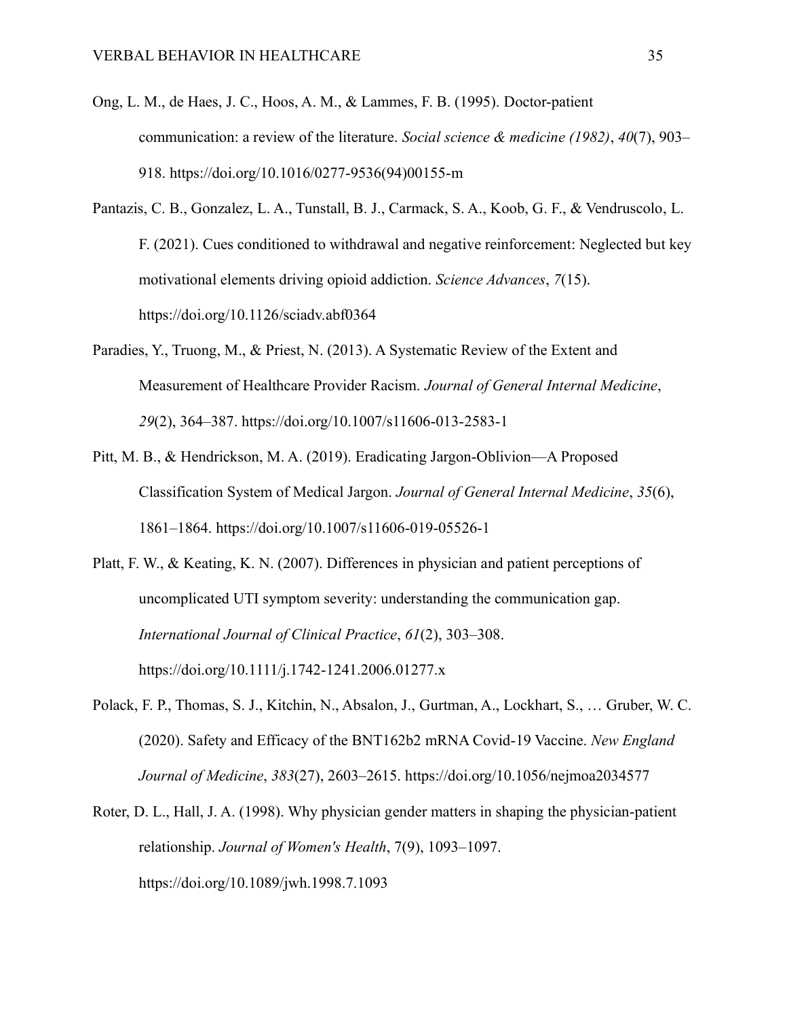- Ong, L. M., de Haes, J. C., Hoos, A. M., & Lammes, F. B. (1995). Doctor-patient communication: a review of the literature. *Social science & medicine (1982)*, *40*(7), 903– 918. https://doi.org/10.1016/0277-9536(94)00155-m
- Pantazis, C. B., Gonzalez, L. A., Tunstall, B. J., Carmack, S. A., Koob, G. F., & Vendruscolo, L. F. (2021). Cues conditioned to withdrawal and negative reinforcement: Neglected but key motivational elements driving opioid addiction. *Science Advances*, *7*(15). https://doi.org/10.1126/sciadv.abf0364
- Paradies, Y., Truong, M., & Priest, N. (2013). A Systematic Review of the Extent and Measurement of Healthcare Provider Racism. *Journal of General Internal Medicine*, *29*(2), 364–387. https://doi.org/10.1007/s11606-013-2583-1
- Pitt, M. B., & Hendrickson, M. A. (2019). Eradicating Jargon-Oblivion—A Proposed Classification System of Medical Jargon. *Journal of General Internal Medicine*, *35*(6), 1861–1864. https://doi.org/10.1007/s11606-019-05526-1
- Platt, F. W., & Keating, K. N. (2007). Differences in physician and patient perceptions of uncomplicated UTI symptom severity: understanding the communication gap. *International Journal of Clinical Practice*, *61*(2), 303–308. https://doi.org/10.1111/j.1742-1241.2006.01277.x
- Polack, F. P., Thomas, S. J., Kitchin, N., Absalon, J., Gurtman, A., Lockhart, S., … Gruber, W. C. (2020). Safety and Efficacy of the BNT162b2 mRNA Covid-19 Vaccine. *New England Journal of Medicine*, *383*(27), 2603–2615. https://doi.org/10.1056/nejmoa2034577
- Roter, D. L., Hall, J. A. (1998). Why physician gender matters in shaping the physician-patient relationship. *Journal of Women's Health*, 7(9), 1093–1097. https://doi.org/10.1089/jwh.1998.7.1093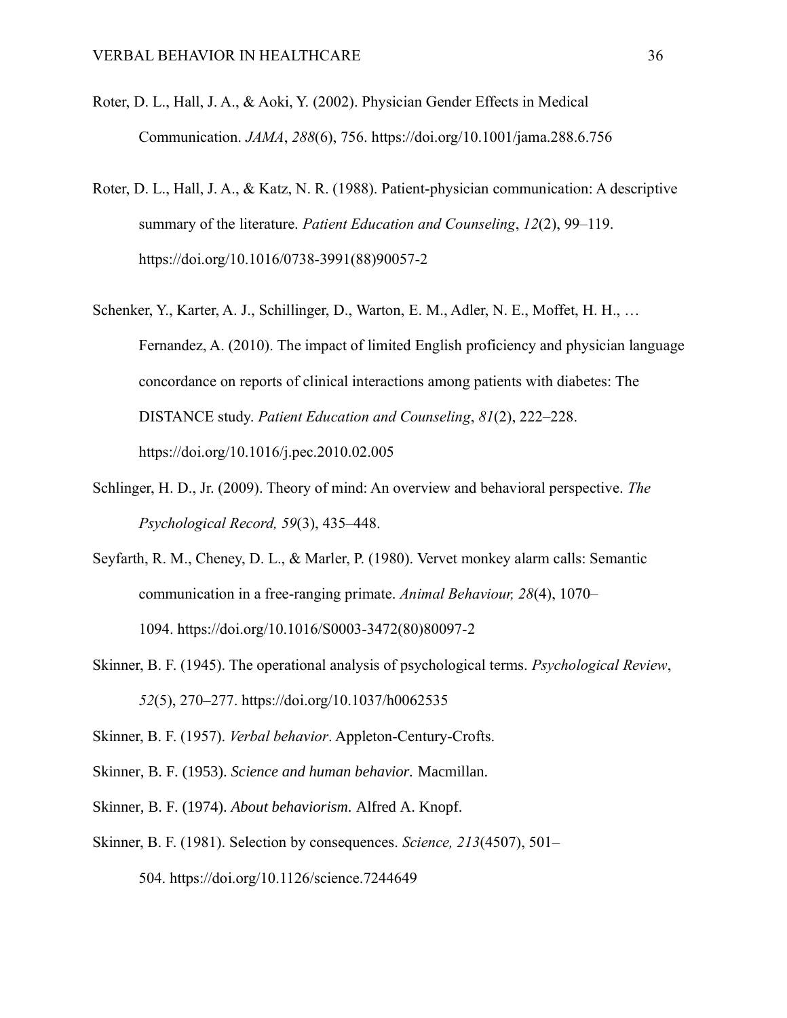- Roter, D. L., Hall, J. A., & Aoki, Y. (2002). Physician Gender Effects in Medical Communication. *JAMA*, *288*(6), 756. https://doi.org/10.1001/jama.288.6.756
- Roter, D. L., Hall, J. A., & Katz, N. R. (1988). Patient-physician communication: A descriptive summary of the literature. *Patient Education and Counseling*, *12*(2), 99–119. https://doi.org/10.1016/0738-3991(88)90057-2
- Schenker, Y., Karter, A. J., Schillinger, D., Warton, E. M., Adler, N. E., Moffet, H. H., … Fernandez, A. (2010). The impact of limited English proficiency and physician language concordance on reports of clinical interactions among patients with diabetes: The DISTANCE study. *Patient Education and Counseling*, *81*(2), 222–228. https://doi.org/10.1016/j.pec.2010.02.005
- Schlinger, H. D., Jr. (2009). Theory of mind: An overview and behavioral perspective. *The Psychological Record, 59*(3), 435–448.
- Seyfarth, R. M., Cheney, D. L., & Marler, P. (1980). Vervet monkey alarm calls: Semantic communication in a free-ranging primate. *Animal Behaviour, 28*(4), 1070– 1094. https://doi.org/10.1016/S0003-3472(80)80097-2
- Skinner, B. F. (1945). The operational analysis of psychological terms. *Psychological Review*, *52*(5), 270–277. https://doi.org/10.1037/h0062535
- Skinner, B. F. (1957). *Verbal behavior*. Appleton-Century-Crofts.
- Skinner, B. F. (1953). *Science and human behavior.* Macmillan.
- Skinner, B. F. (1974). *About behaviorism.* Alfred A. Knopf.
- Skinner, B. F. (1981). Selection by consequences. *Science, 213*(4507), 501– 504. https://doi.org/10.1126/science.7244649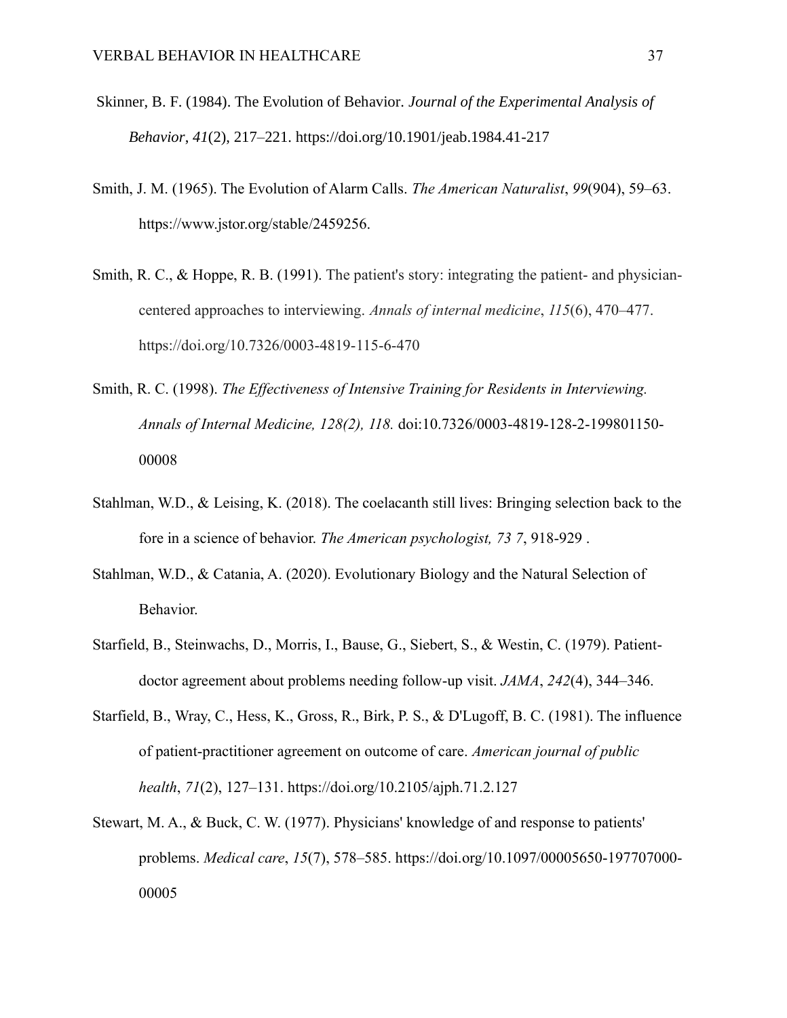- Skinner, B. F. (1984). The Evolution of Behavior. *Journal of the Experimental Analysis of Behavior*, *41*(2), 217–221. https://doi.org/10.1901/jeab.1984.41-217
- Smith, J. M. (1965). The Evolution of Alarm Calls. *The American Naturalist*, *99*(904), 59–63. https://www.jstor.org/stable/2459256.
- Smith, R. C., & Hoppe, R. B. (1991). The patient's story: integrating the patient- and physiciancentered approaches to interviewing. *Annals of internal medicine*, *115*(6), 470–477. https://doi.org/10.7326/0003-4819-115-6-470
- Smith, R. C. (1998). *The Effectiveness of Intensive Training for Residents in Interviewing. Annals of Internal Medicine, 128(2), 118.* doi:10.7326/0003-4819-128-2-199801150- 00008
- Stahlman, W.D., & Leising, K. (2018). The coelacanth still lives: Bringing selection back to the fore in a science of behavior. *The American psychologist, 73 7*, 918-929 .
- Stahlman, W.D., & Catania, A. (2020). Evolutionary Biology and the Natural Selection of Behavior.
- Starfield, B., Steinwachs, D., Morris, I., Bause, G., Siebert, S., & Westin, C. (1979). Patientdoctor agreement about problems needing follow-up visit. *JAMA*, *242*(4), 344–346.
- Starfield, B., Wray, C., Hess, K., Gross, R., Birk, P. S., & D'Lugoff, B. C. (1981). The influence of patient-practitioner agreement on outcome of care. *American journal of public health*, *71*(2), 127–131. https://doi.org/10.2105/ajph.71.2.127
- Stewart, M. A., & Buck, C. W. (1977). Physicians' knowledge of and response to patients' problems. *Medical care*, *15*(7), 578–585. https://doi.org/10.1097/00005650-197707000- 00005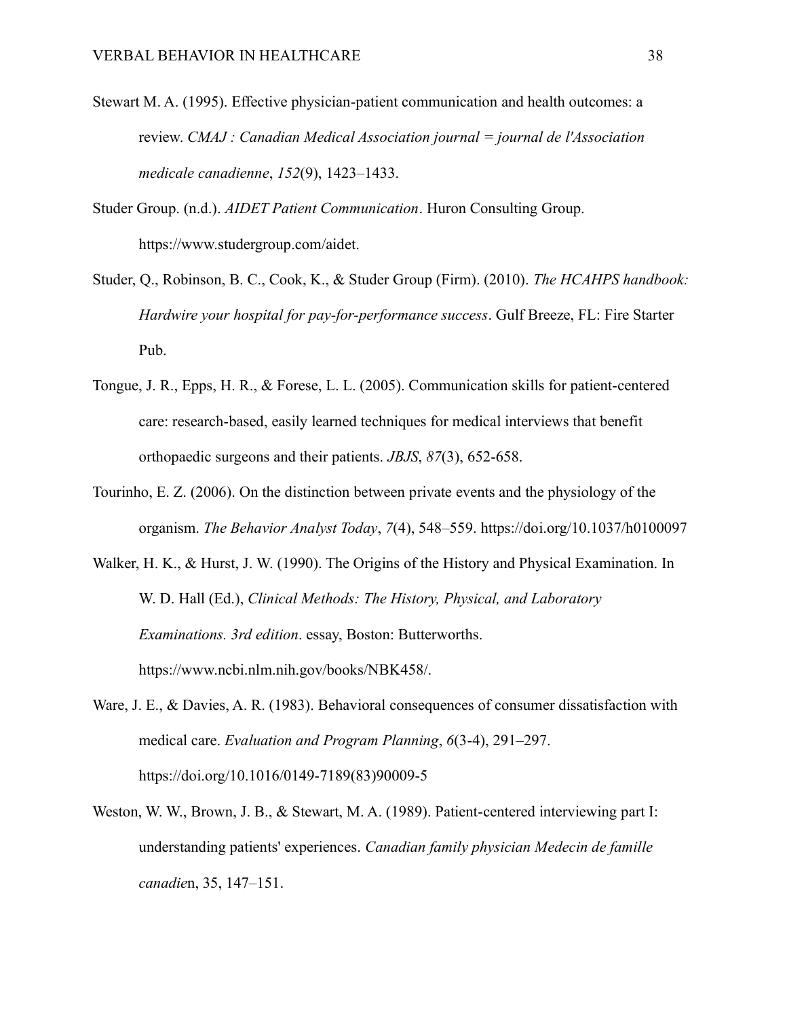- Stewart M. A. (1995). Effective physician-patient communication and health outcomes: a review. *CMAJ : Canadian Medical Association journal = journal de l'Association medicale canadienne*, *152*(9), 1423–1433.
- Studer Group. (n.d.). *AIDET Patient Communication*. Huron Consulting Group. https://www.studergroup.com/aidet.
- Studer, Q., Robinson, B. C., Cook, K., & Studer Group (Firm). (2010). *The HCAHPS handbook: Hardwire your hospital for pay-for-performance success*. Gulf Breeze, FL: Fire Starter Pub.
- Tongue, J. R., Epps, H. R., & Forese, L. L. (2005). Communication skills for patient-centered care: research-based, easily learned techniques for medical interviews that benefit orthopaedic surgeons and their patients. *JBJS*, *87*(3), 652-658.
- Tourinho, E. Z. (2006). On the distinction between private events and the physiology of the organism. *The Behavior Analyst Today*, *7*(4), 548–559. https://doi.org/10.1037/h0100097
- Walker, H. K., & Hurst, J. W. (1990). The Origins of the History and Physical Examination. In W. D. Hall (Ed.), *Clinical Methods: The History, Physical, and Laboratory Examinations. 3rd edition*. essay, Boston: Butterworths. https://www.ncbi.nlm.nih.gov/books/NBK458/.
- Ware, J. E., & Davies, A. R. (1983). Behavioral consequences of consumer dissatisfaction with medical care. *Evaluation and Program Planning*, *6*(3-4), 291–297. https://doi.org/10.1016/0149-7189(83)90009-5
- Weston, W. W., Brown, J. B., & Stewart, M. A. (1989). Patient-centered interviewing part I: understanding patients' experiences. *Canadian family physician Medecin de famille canadie*n, 35, 147–151.